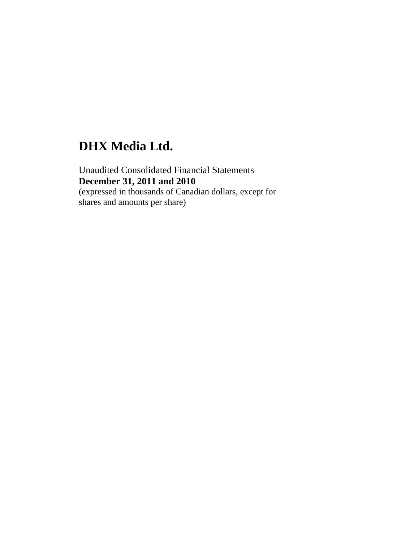# **DHX Media Ltd.**

Unaudited Consolidated Financial Statements **December 31, 2011 and 2010**  (expressed in thousands of Canadian dollars, except for shares and amounts per share)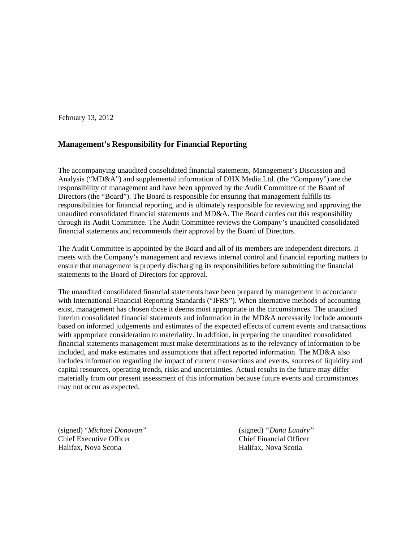February 13, 2012

## **Management's Responsibility for Financial Reporting**

The accompanying unaudited consolidated financial statements, Management's Discussion and Analysis ("MD&A") and supplemental information of DHX Media Ltd. (the "Company") are the responsibility of management and have been approved by the Audit Committee of the Board of Directors (the "Board"). The Board is responsible for ensuring that management fulfills its responsibilities for financial reporting, and is ultimately responsible for reviewing and approving the unaudited consolidated financial statements and MD&A. The Board carries out this responsibility through its Audit Committee. The Audit Committee reviews the Company's unaudited consolidated financial statements and recommends their approval by the Board of Directors.

The Audit Committee is appointed by the Board and all of its members are independent directors. It meets with the Company's management and reviews internal control and financial reporting matters to ensure that management is properly discharging its responsibilities before submitting the financial statements to the Board of Directors for approval.

The unaudited consolidated financial statements have been prepared by management in accordance with International Financial Reporting Standards ("IFRS"). When alternative methods of accounting exist, management has chosen those it deems most appropriate in the circumstances. The unaudited interim consolidated financial statements and information in the MD&A necessarily include amounts based on informed judgements and estimates of the expected effects of current events and transactions with appropriate consideration to materiality. In addition, in preparing the unaudited consolidated financial statements management must make determinations as to the relevancy of information to be included, and make estimates and assumptions that affect reported information. The MD&A also includes information regarding the impact of current transactions and events, sources of liquidity and capital resources, operating trends, risks and uncertainties. Actual results in the future may differ materially from our present assessment of this information because future events and circumstances may not occur as expected.

(signed) "*Michael Donovan"* (signed) *"Dana Landry"* Chief Executive Officer Chief Financial Officer Halifax, Nova Scotia Halifax, Nova Scotia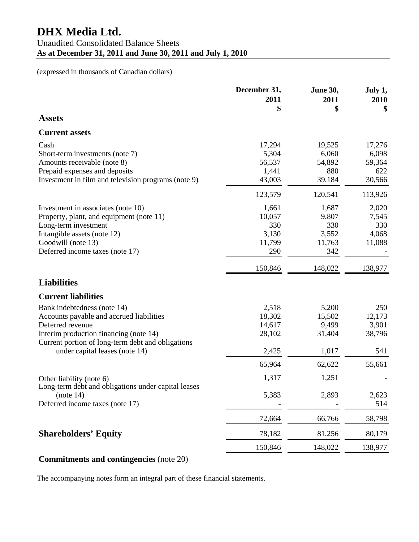|                                                                                                                                                                                                                              | December 31,<br>2011<br>\$                       | <b>June 30,</b><br>2011<br>\$                   | July 1,<br>2010<br>\$                      |
|------------------------------------------------------------------------------------------------------------------------------------------------------------------------------------------------------------------------------|--------------------------------------------------|-------------------------------------------------|--------------------------------------------|
| <b>Assets</b>                                                                                                                                                                                                                |                                                  |                                                 |                                            |
| <b>Current assets</b>                                                                                                                                                                                                        |                                                  |                                                 |                                            |
| Cash<br>Short-term investments (note 7)<br>Amounts receivable (note 8)<br>Prepaid expenses and deposits<br>Investment in film and television programs (note 9)                                                               | 17,294<br>5,304<br>56,537<br>1,441<br>43,003     | 19,525<br>6,060<br>54,892<br>880<br>39,184      | 17,276<br>6,098<br>59,364<br>622<br>30,566 |
|                                                                                                                                                                                                                              | 123,579                                          | 120,541                                         | 113,926                                    |
| Investment in associates (note 10)<br>Property, plant, and equipment (note 11)<br>Long-term investment<br>Intangible assets (note 12)<br>Goodwill (note 13)<br>Deferred income taxes (note 17)                               | 1,661<br>10,057<br>330<br>3,130<br>11,799<br>290 | 1,687<br>9,807<br>330<br>3,552<br>11,763<br>342 | 2,020<br>7,545<br>330<br>4,068<br>11,088   |
|                                                                                                                                                                                                                              | 150,846                                          | 148,022                                         | 138,977                                    |
| <b>Liabilities</b>                                                                                                                                                                                                           |                                                  |                                                 |                                            |
| <b>Current liabilities</b>                                                                                                                                                                                                   |                                                  |                                                 |                                            |
| Bank indebtedness (note 14)<br>Accounts payable and accrued liabilities<br>Deferred revenue<br>Interim production financing (note 14)<br>Current portion of long-term debt and obligations<br>under capital leases (note 14) | 2,518<br>18,302<br>14,617<br>28,102<br>2,425     | 5,200<br>15,502<br>9,499<br>31,404<br>1,017     | 250<br>12,173<br>3,901<br>38,796<br>541    |
|                                                                                                                                                                                                                              | 65,964                                           | 62,622                                          | 55,661                                     |
| Other liability (note 6)<br>Long-term debt and obligations under capital leases<br>(note 14)<br>Deferred income taxes (note 17)                                                                                              | 1,317<br>5,383                                   | 1,251<br>2,893                                  | 2,623<br>514                               |
|                                                                                                                                                                                                                              | 72,664                                           | 66,766                                          | 58,798                                     |
| <b>Shareholders' Equity</b>                                                                                                                                                                                                  | 78,182                                           | 81,256                                          | 80,179                                     |
|                                                                                                                                                                                                                              | 150,846                                          | 148,022                                         | 138,977                                    |

## **Commitments and contingencies** (note 20)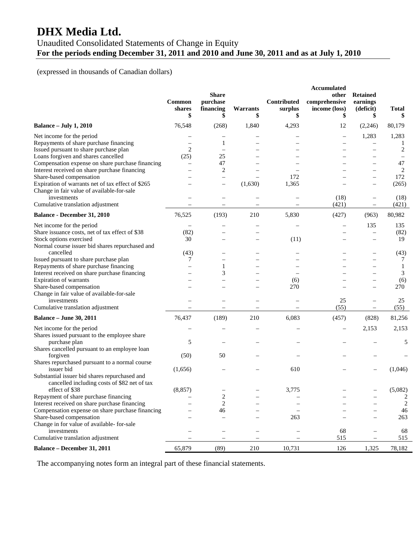# **DHX Media Ltd.**

## Unaudited Consolidated Statements of Change in Equity **For the periods ending December 31, 2011 and 2010 and June 30, 2011 and as at July 1, 2010**

## (expressed in thousands of Canadian dollars)

| 76,548<br><b>Balance - July 1, 2010</b><br>(268)<br>1,840<br>4,293<br>12<br>(2,246)<br>80,179<br>1,283<br>Net income for the period<br>1,283<br>$\qquad \qquad -$<br>Repayments of share purchase financing<br>1<br>1<br>$\overline{2}$<br>$\overline{2}$<br>Issued pursuant to share purchase plan<br>Loans forgiven and shares cancelled<br>25<br>(25)<br>47<br>Compensation expense on share purchase financing<br>47<br>$\overline{2}$<br>Interest received on share purchase financing<br>2<br>172<br>Share-based compensation<br>172<br>$\overline{\phantom{0}}$<br>Expiration of warrants net of tax effect of \$265<br>(1,630)<br>1,365<br>(265)<br>Change in fair value of available-for-sale<br>investments<br>(18)<br>(18)<br>Cumulative translation adjustment<br>(421)<br>(421)<br>$\equiv$<br>76,525<br><b>Balance - December 31, 2010</b><br>(193)<br>210<br>5,830<br>(427)<br>80,982<br>(963)<br>Net income for the period<br>135<br>135<br>Share issuance costs, net of tax effect of \$38<br>(82)<br>(82)<br>$\qquad \qquad -$<br>Stock options exercised<br>19<br>30<br>(11)<br>$\overline{\phantom{0}}$<br>Normal course issuer bid shares repurchased and<br>cancelled<br>(43)<br>(43)<br>$\overline{\phantom{0}}$<br>Issued pursuant to share purchase plan<br>7<br>7<br>Repayments of share purchase financing<br>1<br>-1<br>Interest received on share purchase financing<br>3<br>3<br>Expiration of warrants<br>(6)<br>(6)<br>Share-based compensation<br>270<br>270<br>Change in fair value of available-for-sale<br>25<br>investments<br>25<br>Cumulative translation adjustment<br>(55)<br>(55)<br>$\overline{\phantom{0}}$<br><b>Balance - June 30, 2011</b><br>76,437<br>(189)<br>210<br>6,083<br>(457)<br>81,256<br>(828)<br>2,153<br>Net income for the period<br>2,153<br>Shares issued pursuant to the employee share<br>5<br>purchase plan<br>5<br>Shares cancelled pursuant to an employee loan<br>(50)<br>forgiven<br>50<br>Shares repurchased pursuant to a normal course<br>issuer bid<br>610<br>(1,046)<br>(1,656)<br>Substantial issuer bid shares repurchased and<br>cancelled including costs of \$82 net of tax<br>(5,082)<br>(8, 857)<br>3,775<br>effect of \$38<br>Repayment of share purchase financing<br>2<br>$\overline{c}$<br>Interest received on share purchase financing<br>$\overline{2}$<br>2<br>Compensation expense on share purchase financing<br>46<br>46<br>263<br>Share-based compensation<br>263<br>Change in for value of available- for-sale<br>investments<br>68<br>68<br>Cumulative translation adjustment<br>515<br>515<br><b>Balance – December 31, 2011</b><br>65,879<br>210<br>10,731<br>126<br>(89)<br>1,325<br>78,182 | Common<br>shares<br>\$ | <b>Share</b><br>purchase<br>financing<br>\$ | Warrants<br>\$ | Contributed<br>surplus<br>\$ | <b>Accumulated</b><br>other<br>comprehensive<br>income (loss)<br>\$ | <b>Retained</b><br>earnings<br>(deficit)<br>\$ | <b>Total</b> |
|------------------------------------------------------------------------------------------------------------------------------------------------------------------------------------------------------------------------------------------------------------------------------------------------------------------------------------------------------------------------------------------------------------------------------------------------------------------------------------------------------------------------------------------------------------------------------------------------------------------------------------------------------------------------------------------------------------------------------------------------------------------------------------------------------------------------------------------------------------------------------------------------------------------------------------------------------------------------------------------------------------------------------------------------------------------------------------------------------------------------------------------------------------------------------------------------------------------------------------------------------------------------------------------------------------------------------------------------------------------------------------------------------------------------------------------------------------------------------------------------------------------------------------------------------------------------------------------------------------------------------------------------------------------------------------------------------------------------------------------------------------------------------------------------------------------------------------------------------------------------------------------------------------------------------------------------------------------------------------------------------------------------------------------------------------------------------------------------------------------------------------------------------------------------------------------------------------------------------------------------------------------------------------------------------------------------------------------------------------------------------------------------------------------------------------------------------------------------------------------------------------------------------------------------------------------------------------------------------------------------------------------------------------------------------------------------|------------------------|---------------------------------------------|----------------|------------------------------|---------------------------------------------------------------------|------------------------------------------------|--------------|
|                                                                                                                                                                                                                                                                                                                                                                                                                                                                                                                                                                                                                                                                                                                                                                                                                                                                                                                                                                                                                                                                                                                                                                                                                                                                                                                                                                                                                                                                                                                                                                                                                                                                                                                                                                                                                                                                                                                                                                                                                                                                                                                                                                                                                                                                                                                                                                                                                                                                                                                                                                                                                                                                                                |                        |                                             |                |                              |                                                                     |                                                |              |
|                                                                                                                                                                                                                                                                                                                                                                                                                                                                                                                                                                                                                                                                                                                                                                                                                                                                                                                                                                                                                                                                                                                                                                                                                                                                                                                                                                                                                                                                                                                                                                                                                                                                                                                                                                                                                                                                                                                                                                                                                                                                                                                                                                                                                                                                                                                                                                                                                                                                                                                                                                                                                                                                                                |                        |                                             |                |                              |                                                                     |                                                |              |
|                                                                                                                                                                                                                                                                                                                                                                                                                                                                                                                                                                                                                                                                                                                                                                                                                                                                                                                                                                                                                                                                                                                                                                                                                                                                                                                                                                                                                                                                                                                                                                                                                                                                                                                                                                                                                                                                                                                                                                                                                                                                                                                                                                                                                                                                                                                                                                                                                                                                                                                                                                                                                                                                                                |                        |                                             |                |                              |                                                                     |                                                |              |
|                                                                                                                                                                                                                                                                                                                                                                                                                                                                                                                                                                                                                                                                                                                                                                                                                                                                                                                                                                                                                                                                                                                                                                                                                                                                                                                                                                                                                                                                                                                                                                                                                                                                                                                                                                                                                                                                                                                                                                                                                                                                                                                                                                                                                                                                                                                                                                                                                                                                                                                                                                                                                                                                                                |                        |                                             |                |                              |                                                                     |                                                |              |
|                                                                                                                                                                                                                                                                                                                                                                                                                                                                                                                                                                                                                                                                                                                                                                                                                                                                                                                                                                                                                                                                                                                                                                                                                                                                                                                                                                                                                                                                                                                                                                                                                                                                                                                                                                                                                                                                                                                                                                                                                                                                                                                                                                                                                                                                                                                                                                                                                                                                                                                                                                                                                                                                                                |                        |                                             |                |                              |                                                                     |                                                |              |
|                                                                                                                                                                                                                                                                                                                                                                                                                                                                                                                                                                                                                                                                                                                                                                                                                                                                                                                                                                                                                                                                                                                                                                                                                                                                                                                                                                                                                                                                                                                                                                                                                                                                                                                                                                                                                                                                                                                                                                                                                                                                                                                                                                                                                                                                                                                                                                                                                                                                                                                                                                                                                                                                                                |                        |                                             |                |                              |                                                                     |                                                |              |
|                                                                                                                                                                                                                                                                                                                                                                                                                                                                                                                                                                                                                                                                                                                                                                                                                                                                                                                                                                                                                                                                                                                                                                                                                                                                                                                                                                                                                                                                                                                                                                                                                                                                                                                                                                                                                                                                                                                                                                                                                                                                                                                                                                                                                                                                                                                                                                                                                                                                                                                                                                                                                                                                                                |                        |                                             |                |                              |                                                                     |                                                |              |
|                                                                                                                                                                                                                                                                                                                                                                                                                                                                                                                                                                                                                                                                                                                                                                                                                                                                                                                                                                                                                                                                                                                                                                                                                                                                                                                                                                                                                                                                                                                                                                                                                                                                                                                                                                                                                                                                                                                                                                                                                                                                                                                                                                                                                                                                                                                                                                                                                                                                                                                                                                                                                                                                                                |                        |                                             |                |                              |                                                                     |                                                |              |
|                                                                                                                                                                                                                                                                                                                                                                                                                                                                                                                                                                                                                                                                                                                                                                                                                                                                                                                                                                                                                                                                                                                                                                                                                                                                                                                                                                                                                                                                                                                                                                                                                                                                                                                                                                                                                                                                                                                                                                                                                                                                                                                                                                                                                                                                                                                                                                                                                                                                                                                                                                                                                                                                                                |                        |                                             |                |                              |                                                                     |                                                |              |
|                                                                                                                                                                                                                                                                                                                                                                                                                                                                                                                                                                                                                                                                                                                                                                                                                                                                                                                                                                                                                                                                                                                                                                                                                                                                                                                                                                                                                                                                                                                                                                                                                                                                                                                                                                                                                                                                                                                                                                                                                                                                                                                                                                                                                                                                                                                                                                                                                                                                                                                                                                                                                                                                                                |                        |                                             |                |                              |                                                                     |                                                |              |
|                                                                                                                                                                                                                                                                                                                                                                                                                                                                                                                                                                                                                                                                                                                                                                                                                                                                                                                                                                                                                                                                                                                                                                                                                                                                                                                                                                                                                                                                                                                                                                                                                                                                                                                                                                                                                                                                                                                                                                                                                                                                                                                                                                                                                                                                                                                                                                                                                                                                                                                                                                                                                                                                                                |                        |                                             |                |                              |                                                                     |                                                |              |
|                                                                                                                                                                                                                                                                                                                                                                                                                                                                                                                                                                                                                                                                                                                                                                                                                                                                                                                                                                                                                                                                                                                                                                                                                                                                                                                                                                                                                                                                                                                                                                                                                                                                                                                                                                                                                                                                                                                                                                                                                                                                                                                                                                                                                                                                                                                                                                                                                                                                                                                                                                                                                                                                                                |                        |                                             |                |                              |                                                                     |                                                |              |
|                                                                                                                                                                                                                                                                                                                                                                                                                                                                                                                                                                                                                                                                                                                                                                                                                                                                                                                                                                                                                                                                                                                                                                                                                                                                                                                                                                                                                                                                                                                                                                                                                                                                                                                                                                                                                                                                                                                                                                                                                                                                                                                                                                                                                                                                                                                                                                                                                                                                                                                                                                                                                                                                                                |                        |                                             |                |                              |                                                                     |                                                |              |
|                                                                                                                                                                                                                                                                                                                                                                                                                                                                                                                                                                                                                                                                                                                                                                                                                                                                                                                                                                                                                                                                                                                                                                                                                                                                                                                                                                                                                                                                                                                                                                                                                                                                                                                                                                                                                                                                                                                                                                                                                                                                                                                                                                                                                                                                                                                                                                                                                                                                                                                                                                                                                                                                                                |                        |                                             |                |                              |                                                                     |                                                |              |
|                                                                                                                                                                                                                                                                                                                                                                                                                                                                                                                                                                                                                                                                                                                                                                                                                                                                                                                                                                                                                                                                                                                                                                                                                                                                                                                                                                                                                                                                                                                                                                                                                                                                                                                                                                                                                                                                                                                                                                                                                                                                                                                                                                                                                                                                                                                                                                                                                                                                                                                                                                                                                                                                                                |                        |                                             |                |                              |                                                                     |                                                |              |
|                                                                                                                                                                                                                                                                                                                                                                                                                                                                                                                                                                                                                                                                                                                                                                                                                                                                                                                                                                                                                                                                                                                                                                                                                                                                                                                                                                                                                                                                                                                                                                                                                                                                                                                                                                                                                                                                                                                                                                                                                                                                                                                                                                                                                                                                                                                                                                                                                                                                                                                                                                                                                                                                                                |                        |                                             |                |                              |                                                                     |                                                |              |
|                                                                                                                                                                                                                                                                                                                                                                                                                                                                                                                                                                                                                                                                                                                                                                                                                                                                                                                                                                                                                                                                                                                                                                                                                                                                                                                                                                                                                                                                                                                                                                                                                                                                                                                                                                                                                                                                                                                                                                                                                                                                                                                                                                                                                                                                                                                                                                                                                                                                                                                                                                                                                                                                                                |                        |                                             |                |                              |                                                                     |                                                |              |
|                                                                                                                                                                                                                                                                                                                                                                                                                                                                                                                                                                                                                                                                                                                                                                                                                                                                                                                                                                                                                                                                                                                                                                                                                                                                                                                                                                                                                                                                                                                                                                                                                                                                                                                                                                                                                                                                                                                                                                                                                                                                                                                                                                                                                                                                                                                                                                                                                                                                                                                                                                                                                                                                                                |                        |                                             |                |                              |                                                                     |                                                |              |
|                                                                                                                                                                                                                                                                                                                                                                                                                                                                                                                                                                                                                                                                                                                                                                                                                                                                                                                                                                                                                                                                                                                                                                                                                                                                                                                                                                                                                                                                                                                                                                                                                                                                                                                                                                                                                                                                                                                                                                                                                                                                                                                                                                                                                                                                                                                                                                                                                                                                                                                                                                                                                                                                                                |                        |                                             |                |                              |                                                                     |                                                |              |
|                                                                                                                                                                                                                                                                                                                                                                                                                                                                                                                                                                                                                                                                                                                                                                                                                                                                                                                                                                                                                                                                                                                                                                                                                                                                                                                                                                                                                                                                                                                                                                                                                                                                                                                                                                                                                                                                                                                                                                                                                                                                                                                                                                                                                                                                                                                                                                                                                                                                                                                                                                                                                                                                                                |                        |                                             |                |                              |                                                                     |                                                |              |
|                                                                                                                                                                                                                                                                                                                                                                                                                                                                                                                                                                                                                                                                                                                                                                                                                                                                                                                                                                                                                                                                                                                                                                                                                                                                                                                                                                                                                                                                                                                                                                                                                                                                                                                                                                                                                                                                                                                                                                                                                                                                                                                                                                                                                                                                                                                                                                                                                                                                                                                                                                                                                                                                                                |                        |                                             |                |                              |                                                                     |                                                |              |
|                                                                                                                                                                                                                                                                                                                                                                                                                                                                                                                                                                                                                                                                                                                                                                                                                                                                                                                                                                                                                                                                                                                                                                                                                                                                                                                                                                                                                                                                                                                                                                                                                                                                                                                                                                                                                                                                                                                                                                                                                                                                                                                                                                                                                                                                                                                                                                                                                                                                                                                                                                                                                                                                                                |                        |                                             |                |                              |                                                                     |                                                |              |
|                                                                                                                                                                                                                                                                                                                                                                                                                                                                                                                                                                                                                                                                                                                                                                                                                                                                                                                                                                                                                                                                                                                                                                                                                                                                                                                                                                                                                                                                                                                                                                                                                                                                                                                                                                                                                                                                                                                                                                                                                                                                                                                                                                                                                                                                                                                                                                                                                                                                                                                                                                                                                                                                                                |                        |                                             |                |                              |                                                                     |                                                |              |
|                                                                                                                                                                                                                                                                                                                                                                                                                                                                                                                                                                                                                                                                                                                                                                                                                                                                                                                                                                                                                                                                                                                                                                                                                                                                                                                                                                                                                                                                                                                                                                                                                                                                                                                                                                                                                                                                                                                                                                                                                                                                                                                                                                                                                                                                                                                                                                                                                                                                                                                                                                                                                                                                                                |                        |                                             |                |                              |                                                                     |                                                |              |
|                                                                                                                                                                                                                                                                                                                                                                                                                                                                                                                                                                                                                                                                                                                                                                                                                                                                                                                                                                                                                                                                                                                                                                                                                                                                                                                                                                                                                                                                                                                                                                                                                                                                                                                                                                                                                                                                                                                                                                                                                                                                                                                                                                                                                                                                                                                                                                                                                                                                                                                                                                                                                                                                                                |                        |                                             |                |                              |                                                                     |                                                |              |
|                                                                                                                                                                                                                                                                                                                                                                                                                                                                                                                                                                                                                                                                                                                                                                                                                                                                                                                                                                                                                                                                                                                                                                                                                                                                                                                                                                                                                                                                                                                                                                                                                                                                                                                                                                                                                                                                                                                                                                                                                                                                                                                                                                                                                                                                                                                                                                                                                                                                                                                                                                                                                                                                                                |                        |                                             |                |                              |                                                                     |                                                |              |
|                                                                                                                                                                                                                                                                                                                                                                                                                                                                                                                                                                                                                                                                                                                                                                                                                                                                                                                                                                                                                                                                                                                                                                                                                                                                                                                                                                                                                                                                                                                                                                                                                                                                                                                                                                                                                                                                                                                                                                                                                                                                                                                                                                                                                                                                                                                                                                                                                                                                                                                                                                                                                                                                                                |                        |                                             |                |                              |                                                                     |                                                |              |
|                                                                                                                                                                                                                                                                                                                                                                                                                                                                                                                                                                                                                                                                                                                                                                                                                                                                                                                                                                                                                                                                                                                                                                                                                                                                                                                                                                                                                                                                                                                                                                                                                                                                                                                                                                                                                                                                                                                                                                                                                                                                                                                                                                                                                                                                                                                                                                                                                                                                                                                                                                                                                                                                                                |                        |                                             |                |                              |                                                                     |                                                |              |
|                                                                                                                                                                                                                                                                                                                                                                                                                                                                                                                                                                                                                                                                                                                                                                                                                                                                                                                                                                                                                                                                                                                                                                                                                                                                                                                                                                                                                                                                                                                                                                                                                                                                                                                                                                                                                                                                                                                                                                                                                                                                                                                                                                                                                                                                                                                                                                                                                                                                                                                                                                                                                                                                                                |                        |                                             |                |                              |                                                                     |                                                |              |
|                                                                                                                                                                                                                                                                                                                                                                                                                                                                                                                                                                                                                                                                                                                                                                                                                                                                                                                                                                                                                                                                                                                                                                                                                                                                                                                                                                                                                                                                                                                                                                                                                                                                                                                                                                                                                                                                                                                                                                                                                                                                                                                                                                                                                                                                                                                                                                                                                                                                                                                                                                                                                                                                                                |                        |                                             |                |                              |                                                                     |                                                |              |
|                                                                                                                                                                                                                                                                                                                                                                                                                                                                                                                                                                                                                                                                                                                                                                                                                                                                                                                                                                                                                                                                                                                                                                                                                                                                                                                                                                                                                                                                                                                                                                                                                                                                                                                                                                                                                                                                                                                                                                                                                                                                                                                                                                                                                                                                                                                                                                                                                                                                                                                                                                                                                                                                                                |                        |                                             |                |                              |                                                                     |                                                |              |
|                                                                                                                                                                                                                                                                                                                                                                                                                                                                                                                                                                                                                                                                                                                                                                                                                                                                                                                                                                                                                                                                                                                                                                                                                                                                                                                                                                                                                                                                                                                                                                                                                                                                                                                                                                                                                                                                                                                                                                                                                                                                                                                                                                                                                                                                                                                                                                                                                                                                                                                                                                                                                                                                                                |                        |                                             |                |                              |                                                                     |                                                |              |
|                                                                                                                                                                                                                                                                                                                                                                                                                                                                                                                                                                                                                                                                                                                                                                                                                                                                                                                                                                                                                                                                                                                                                                                                                                                                                                                                                                                                                                                                                                                                                                                                                                                                                                                                                                                                                                                                                                                                                                                                                                                                                                                                                                                                                                                                                                                                                                                                                                                                                                                                                                                                                                                                                                |                        |                                             |                |                              |                                                                     |                                                |              |
|                                                                                                                                                                                                                                                                                                                                                                                                                                                                                                                                                                                                                                                                                                                                                                                                                                                                                                                                                                                                                                                                                                                                                                                                                                                                                                                                                                                                                                                                                                                                                                                                                                                                                                                                                                                                                                                                                                                                                                                                                                                                                                                                                                                                                                                                                                                                                                                                                                                                                                                                                                                                                                                                                                |                        |                                             |                |                              |                                                                     |                                                |              |
|                                                                                                                                                                                                                                                                                                                                                                                                                                                                                                                                                                                                                                                                                                                                                                                                                                                                                                                                                                                                                                                                                                                                                                                                                                                                                                                                                                                                                                                                                                                                                                                                                                                                                                                                                                                                                                                                                                                                                                                                                                                                                                                                                                                                                                                                                                                                                                                                                                                                                                                                                                                                                                                                                                |                        |                                             |                |                              |                                                                     |                                                |              |
|                                                                                                                                                                                                                                                                                                                                                                                                                                                                                                                                                                                                                                                                                                                                                                                                                                                                                                                                                                                                                                                                                                                                                                                                                                                                                                                                                                                                                                                                                                                                                                                                                                                                                                                                                                                                                                                                                                                                                                                                                                                                                                                                                                                                                                                                                                                                                                                                                                                                                                                                                                                                                                                                                                |                        |                                             |                |                              |                                                                     |                                                |              |
|                                                                                                                                                                                                                                                                                                                                                                                                                                                                                                                                                                                                                                                                                                                                                                                                                                                                                                                                                                                                                                                                                                                                                                                                                                                                                                                                                                                                                                                                                                                                                                                                                                                                                                                                                                                                                                                                                                                                                                                                                                                                                                                                                                                                                                                                                                                                                                                                                                                                                                                                                                                                                                                                                                |                        |                                             |                |                              |                                                                     |                                                |              |
|                                                                                                                                                                                                                                                                                                                                                                                                                                                                                                                                                                                                                                                                                                                                                                                                                                                                                                                                                                                                                                                                                                                                                                                                                                                                                                                                                                                                                                                                                                                                                                                                                                                                                                                                                                                                                                                                                                                                                                                                                                                                                                                                                                                                                                                                                                                                                                                                                                                                                                                                                                                                                                                                                                |                        |                                             |                |                              |                                                                     |                                                |              |
|                                                                                                                                                                                                                                                                                                                                                                                                                                                                                                                                                                                                                                                                                                                                                                                                                                                                                                                                                                                                                                                                                                                                                                                                                                                                                                                                                                                                                                                                                                                                                                                                                                                                                                                                                                                                                                                                                                                                                                                                                                                                                                                                                                                                                                                                                                                                                                                                                                                                                                                                                                                                                                                                                                |                        |                                             |                |                              |                                                                     |                                                |              |
|                                                                                                                                                                                                                                                                                                                                                                                                                                                                                                                                                                                                                                                                                                                                                                                                                                                                                                                                                                                                                                                                                                                                                                                                                                                                                                                                                                                                                                                                                                                                                                                                                                                                                                                                                                                                                                                                                                                                                                                                                                                                                                                                                                                                                                                                                                                                                                                                                                                                                                                                                                                                                                                                                                |                        |                                             |                |                              |                                                                     |                                                |              |
|                                                                                                                                                                                                                                                                                                                                                                                                                                                                                                                                                                                                                                                                                                                                                                                                                                                                                                                                                                                                                                                                                                                                                                                                                                                                                                                                                                                                                                                                                                                                                                                                                                                                                                                                                                                                                                                                                                                                                                                                                                                                                                                                                                                                                                                                                                                                                                                                                                                                                                                                                                                                                                                                                                |                        |                                             |                |                              |                                                                     |                                                |              |
|                                                                                                                                                                                                                                                                                                                                                                                                                                                                                                                                                                                                                                                                                                                                                                                                                                                                                                                                                                                                                                                                                                                                                                                                                                                                                                                                                                                                                                                                                                                                                                                                                                                                                                                                                                                                                                                                                                                                                                                                                                                                                                                                                                                                                                                                                                                                                                                                                                                                                                                                                                                                                                                                                                |                        |                                             |                |                              |                                                                     |                                                |              |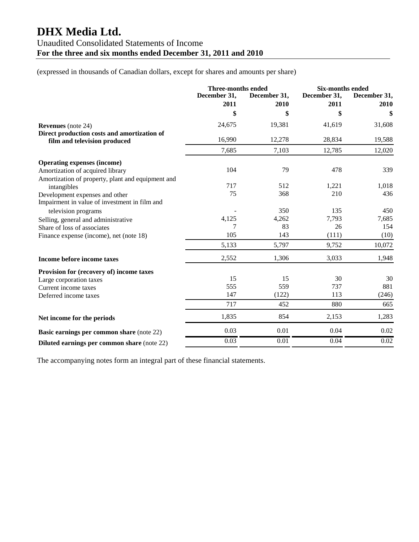# **DHX Media Ltd.**  Unaudited Consolidated Statements of Income **For the three and six months ended December 31, 2011 and 2010**

(expressed in thousands of Canadian dollars, except for shares and amounts per share)

|                                                                                 | Three-months ended   |                      | <b>Six-months ended</b> |                      |
|---------------------------------------------------------------------------------|----------------------|----------------------|-------------------------|----------------------|
|                                                                                 | December 31,<br>2011 | December 31,<br>2010 | December 31,<br>2011    | December 31,<br>2010 |
|                                                                                 | \$                   | \$                   | \$                      | \$                   |
| <b>Revenues</b> (note 24)                                                       | 24,675               | 19,381               | 41,619                  | 31,608               |
| Direct production costs and amortization of<br>film and television produced     | 16,990               | 12,278               | 28,834                  | 19,588               |
|                                                                                 | 7,685                | 7,103                | 12,785                  | 12,020               |
| <b>Operating expenses (income)</b>                                              |                      |                      |                         |                      |
| Amortization of acquired library                                                | 104                  | 79                   | 478                     | 339                  |
| Amortization of property, plant and equipment and                               |                      |                      |                         |                      |
| intangibles                                                                     | 717                  | 512                  | 1,221                   | 1,018                |
| Development expenses and other<br>Impairment in value of investment in film and | 75                   | 368                  | 210                     | 436                  |
| television programs                                                             |                      | 350                  | 135                     | 450                  |
| Selling, general and administrative                                             | 4,125                | 4,262                | 7,793                   | 7,685                |
| Share of loss of associates                                                     | 7                    | 83                   | 26                      | 154                  |
| Finance expense (income), net (note 18)                                         | 105                  | 143                  | (111)                   | (10)                 |
|                                                                                 | 5,133                | 5,797                | 9,752                   | 10,072               |
| Income before income taxes                                                      | 2,552                | 1,306                | 3,033                   | 1,948                |
| Provision for (recovery of) income taxes                                        |                      |                      |                         |                      |
| Large corporation taxes                                                         | 15                   | 15                   | 30                      | 30                   |
| Current income taxes                                                            | 555                  | 559                  | 737                     | 881                  |
| Deferred income taxes                                                           | 147                  | (122)                | 113                     | (246)                |
|                                                                                 | 717                  | 452                  | 880                     | 665                  |
| Net income for the periods                                                      | 1,835                | 854                  | 2,153                   | 1,283                |
| Basic earnings per common share (note 22)                                       | 0.03                 | 0.01                 | 0.04                    | 0.02                 |
| <b>Diluted earnings per common share (note 22)</b>                              | 0.03                 | 0.01                 | 0.04                    | 0.02                 |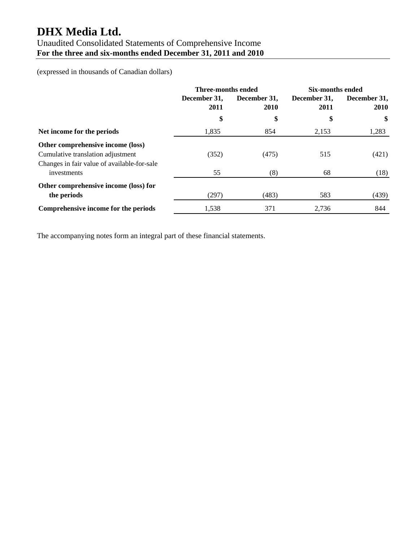# **DHX Media Ltd.**

## Unaudited Consolidated Statements of Comprehensive Income **For the three and six-months ended December 31, 2011 and 2010**

(expressed in thousands of Canadian dollars)

|                                                                        | Three-months ended   |                      | <b>Six-months ended</b> |                             |
|------------------------------------------------------------------------|----------------------|----------------------|-------------------------|-----------------------------|
|                                                                        | December 31,<br>2011 | December 31,<br>2010 | December 31,<br>2011    | December 31,<br><b>2010</b> |
|                                                                        | \$                   | \$                   | \$                      | \$                          |
| Net income for the periods                                             | 1,835                | 854                  | 2,153                   | 1,283                       |
| Other comprehensive income (loss)<br>Cumulative translation adjustment | (352)                | (475)                | 515                     | (421)                       |
| Changes in fair value of available-for-sale<br>investments             | 55                   | (8)                  | 68                      | (18)                        |
| Other comprehensive income (loss) for<br>the periods                   | (297)                | (483)                | 583                     | (439)                       |
| Comprehensive income for the periods                                   | 1,538                | 371                  | 2.736                   | 844                         |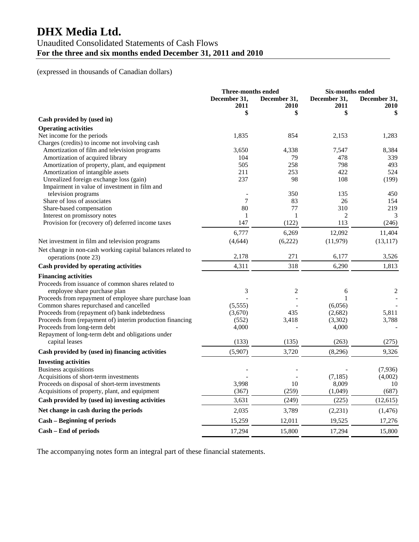# **DHX Media Ltd.**

## Unaudited Consolidated Statements of Cash Flows **For the three and six months ended December 31, 2011 and 2010**

## (expressed in thousands of Canadian dollars)

|                                                                              | <b>Three-months ended</b> |                      | <b>Six-months ended</b> |                      |
|------------------------------------------------------------------------------|---------------------------|----------------------|-------------------------|----------------------|
|                                                                              | December 31,<br>2011      | December 31,<br>2010 | December 31,<br>2011    | December 31,<br>2010 |
| Cash provided by (used in)                                                   | \$                        | \$                   | \$                      | \$                   |
|                                                                              |                           |                      |                         |                      |
| <b>Operating activities</b>                                                  |                           | 854                  |                         |                      |
| Net income for the periods<br>Charges (credits) to income not involving cash | 1,835                     |                      | 2,153                   | 1,283                |
| Amortization of film and television programs                                 | 3,650                     | 4,338                | 7,547                   | 8,384                |
| Amortization of acquired library                                             | 104                       | 79                   | 478                     | 339                  |
| Amortization of property, plant, and equipment                               | 505                       | 258                  | 798                     | 493                  |
| Amortization of intangible assets                                            | 211                       | 253                  | 422                     | 524                  |
| Unrealized foreign exchange loss (gain)                                      | 237                       | 98                   | 108                     | (199)                |
| Impairment in value of investment in film and                                |                           |                      |                         |                      |
| television programs                                                          |                           | 350                  | 135                     | 450                  |
| Share of loss of associates                                                  | 7                         | 83                   | 26                      | 154                  |
| Share-based compensation                                                     | 80                        | 77                   | 310                     | 219                  |
| Interest on promissory notes                                                 | 1                         | 1                    | 2                       | 3                    |
| Provision for (recovery of) deferred income taxes                            | 147                       | (122)                | 113                     | (246)                |
|                                                                              |                           |                      |                         |                      |
|                                                                              | 6,777                     | 6,269                | 12,092                  | 11,404               |
| Net investment in film and television programs                               | (4,644)                   | (6,222)              | (11,979)                | (13, 117)            |
| Net change in non-cash working capital balances related to                   |                           |                      |                         |                      |
| operations (note 23)                                                         | 2,178                     | 271                  | 6,177                   | 3,526                |
| Cash provided by operating activities                                        | 4,311                     | 318                  | 6,290                   | 1,813                |
| <b>Financing activities</b>                                                  |                           |                      |                         |                      |
| Proceeds from issuance of common shares related to                           |                           |                      |                         |                      |
| employee share purchase plan                                                 | 3                         | $\overline{c}$       | 6                       | $\overline{c}$       |
| Proceeds from repayment of employee share purchase loan                      |                           |                      |                         |                      |
| Common shares repurchased and cancelled                                      | (5,555)                   |                      | (6,056)                 |                      |
| Proceeds from (repayment of) bank indebtedness                               | (3,670)                   | 435                  | (2,682)                 | 5,811                |
| Proceeds from (repayment of) interim production financing                    | (552)                     | 3,418                | (3,302)                 | 3,788                |
| Proceeds from long-term debt                                                 | 4,000                     |                      | 4,000                   |                      |
| Repayment of long-term debt and obligations under                            |                           |                      |                         |                      |
| capital leases                                                               | (133)                     | (135)                | (263)                   | (275)                |
| Cash provided by (used in) financing activities                              | (5,907)                   | 3,720                | (8,296)                 | 9,326                |
| <b>Investing activities</b>                                                  |                           |                      |                         |                      |
| <b>Business acquisitions</b>                                                 |                           |                      |                         | (7,936)              |
| Acquisitions of short-term investments                                       |                           |                      | (7, 185)                | (4,002)              |
| Proceeds on disposal of short-term investments                               | 3,998                     | 10                   | 8,009                   | 10                   |
| Acquisitions of property, plant, and equipment                               | (367)                     | (259)                | (1,049)                 | (687)                |
| Cash provided by (used in) investing activities                              | 3,631                     | (249)                | (225)                   | (12, 615)            |
| Net change in cash during the periods                                        | 2,035                     | 3,789                | (2, 231)                | (1, 476)             |
| <b>Cash - Beginning of periods</b>                                           | 15,259                    | 12,011               | 19,525                  | 17,276               |
| Cash - End of periods                                                        | 17,294                    | 15,800               | 17,294                  | 15,800               |
|                                                                              |                           |                      |                         |                      |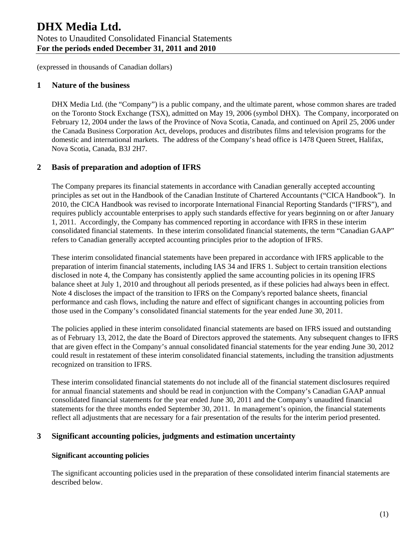## **1 Nature of the business**

DHX Media Ltd. (the "Company") is a public company, and the ultimate parent, whose common shares are traded on the Toronto Stock Exchange (TSX), admitted on May 19, 2006 (symbol DHX). The Company, incorporated on February 12, 2004 under the laws of the Province of Nova Scotia, Canada, and continued on April 25, 2006 under the Canada Business Corporation Act, develops, produces and distributes films and television programs for the domestic and international markets. The address of the Company's head office is 1478 Queen Street, Halifax, Nova Scotia, Canada, B3J 2H7.

## **2 Basis of preparation and adoption of IFRS**

The Company prepares its financial statements in accordance with Canadian generally accepted accounting principles as set out in the Handbook of the Canadian Institute of Chartered Accountants ("CICA Handbook"). In 2010, the CICA Handbook was revised to incorporate International Financial Reporting Standards ("IFRS"), and requires publicly accountable enterprises to apply such standards effective for years beginning on or after January 1, 2011. Accordingly, the Company has commenced reporting in accordance with IFRS in these interim consolidated financial statements. In these interim consolidated financial statements, the term "Canadian GAAP" refers to Canadian generally accepted accounting principles prior to the adoption of IFRS.

These interim consolidated financial statements have been prepared in accordance with IFRS applicable to the preparation of interim financial statements, including IAS 34 and IFRS 1. Subject to certain transition elections disclosed in note 4, the Company has consistently applied the same accounting policies in its opening IFRS balance sheet at July 1, 2010 and throughout all periods presented, as if these policies had always been in effect. Note 4 discloses the impact of the transition to IFRS on the Company's reported balance sheets, financial performance and cash flows, including the nature and effect of significant changes in accounting policies from those used in the Company's consolidated financial statements for the year ended June 30, 2011.

The policies applied in these interim consolidated financial statements are based on IFRS issued and outstanding as of February 13, 2012, the date the Board of Directors approved the statements. Any subsequent changes to IFRS that are given effect in the Company's annual consolidated financial statements for the year ending June 30, 2012 could result in restatement of these interim consolidated financial statements, including the transition adjustments recognized on transition to IFRS.

These interim consolidated financial statements do not include all of the financial statement disclosures required for annual financial statements and should be read in conjunction with the Company's Canadian GAAP annual consolidated financial statements for the year ended June 30, 2011 and the Company's unaudited financial statements for the three months ended September 30, 2011. In management's opinion, the financial statements reflect all adjustments that are necessary for a fair presentation of the results for the interim period presented.

## **3 Significant accounting policies, judgments and estimation uncertainty**

## **Significant accounting policies**

The significant accounting policies used in the preparation of these consolidated interim financial statements are described below.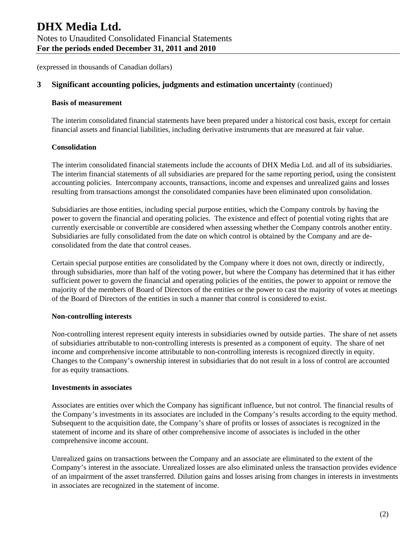## **3 Significant accounting policies, judgments and estimation uncertainty** (continued)

#### **Basis of measurement**

The interim consolidated financial statements have been prepared under a historical cost basis, except for certain financial assets and financial liabilities, including derivative instruments that are measured at fair value.

#### **Consolidation**

The interim consolidated financial statements include the accounts of DHX Media Ltd. and all of its subsidiaries. The interim financial statements of all subsidiaries are prepared for the same reporting period, using the consistent accounting policies. Intercompany accounts, transactions, income and expenses and unrealized gains and losses resulting from transactions amongst the consolidated companies have been eliminated upon consolidation.

Subsidiaries are those entities, including special purpose entities, which the Company controls by having the power to govern the financial and operating policies. The existence and effect of potential voting rights that are currently exercisable or convertible are considered when assessing whether the Company controls another entity. Subsidiaries are fully consolidated from the date on which control is obtained by the Company and are deconsolidated from the date that control ceases.

Certain special purpose entities are consolidated by the Company where it does not own, directly or indirectly, through subsidiaries, more than half of the voting power, but where the Company has determined that it has either sufficient power to govern the financial and operating policies of the entities, the power to appoint or remove the majority of the members of Board of Directors of the entities or the power to cast the majority of votes at meetings of the Board of Directors of the entities in such a manner that control is considered to exist.

#### **Non-controlling interests**

Non-controlling interest represent equity interests in subsidiaries owned by outside parties. The share of net assets of subsidiaries attributable to non-controlling interests is presented as a component of equity. The share of net income and comprehensive income attributable to non-controlling interests is recognized directly in equity. Changes to the Company's ownership interest in subsidiaries that do not result in a loss of control are accounted for as equity transactions.

#### **Investments in associates**

Associates are entities over which the Company has significant influence, but not control. The financial results of the Company's investments in its associates are included in the Company's results according to the equity method. Subsequent to the acquisition date, the Company's share of profits or losses of associates is recognized in the statement of income and its share of other comprehensive income of associates is included in the other comprehensive income account.

Unrealized gains on transactions between the Company and an associate are eliminated to the extent of the Company's interest in the associate. Unrealized losses are also eliminated unless the transaction provides evidence of an impairment of the asset transferred. Dilution gains and losses arising from changes in interests in investments in associates are recognized in the statement of income.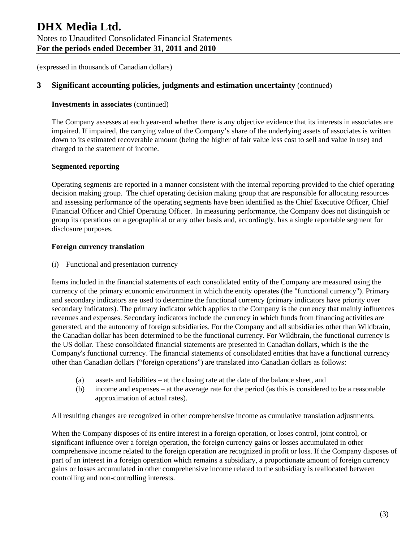## **3 Significant accounting policies, judgments and estimation uncertainty** (continued)

#### **Investments in associates** (continued)

The Company assesses at each year-end whether there is any objective evidence that its interests in associates are impaired. If impaired, the carrying value of the Company's share of the underlying assets of associates is written down to its estimated recoverable amount (being the higher of fair value less cost to sell and value in use) and charged to the statement of income.

#### **Segmented reporting**

Operating segments are reported in a manner consistent with the internal reporting provided to the chief operating decision making group. The chief operating decision making group that are responsible for allocating resources and assessing performance of the operating segments have been identified as the Chief Executive Officer, Chief Financial Officer and Chief Operating Officer. In measuring performance, the Company does not distinguish or group its operations on a geographical or any other basis and, accordingly, has a single reportable segment for disclosure purposes.

#### **Foreign currency translation**

(i) Functional and presentation currency

Items included in the financial statements of each consolidated entity of the Company are measured using the currency of the primary economic environment in which the entity operates (the "functional currency"). Primary and secondary indicators are used to determine the functional currency (primary indicators have priority over secondary indicators). The primary indicator which applies to the Company is the currency that mainly influences revenues and expenses. Secondary indicators include the currency in which funds from financing activities are generated, and the autonomy of foreign subsidiaries. For the Company and all subsidiaries other than Wildbrain, the Canadian dollar has been determined to be the functional currency. For Wildbrain, the functional currency is the US dollar. These consolidated financial statements are presented in Canadian dollars, which is the the Company's functional currency. The financial statements of consolidated entities that have a functional currency other than Canadian dollars ("foreign operations") are translated into Canadian dollars as follows:

- (a) assets and liabilities at the closing rate at the date of the balance sheet, and
- (b) income and expenses at the average rate for the period (as this is considered to be a reasonable approximation of actual rates).

All resulting changes are recognized in other comprehensive income as cumulative translation adjustments.

When the Company disposes of its entire interest in a foreign operation, or loses control, joint control, or significant influence over a foreign operation, the foreign currency gains or losses accumulated in other comprehensive income related to the foreign operation are recognized in profit or loss. If the Company disposes of part of an interest in a foreign operation which remains a subsidiary, a proportionate amount of foreign currency gains or losses accumulated in other comprehensive income related to the subsidiary is reallocated between controlling and non-controlling interests.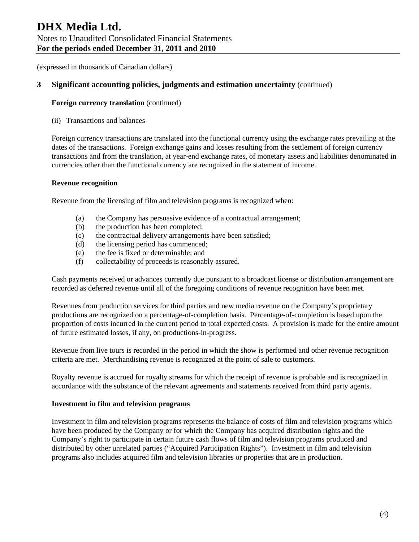# **DHX Media Ltd.**  Notes to Unaudited Consolidated Financial Statements **For the periods ended December 31, 2011 and 2010**

(expressed in thousands of Canadian dollars)

## **3 Significant accounting policies, judgments and estimation uncertainty** (continued)

#### **Foreign currency translation** (continued)

(ii) Transactions and balances

Foreign currency transactions are translated into the functional currency using the exchange rates prevailing at the dates of the transactions. Foreign exchange gains and losses resulting from the settlement of foreign currency transactions and from the translation, at year-end exchange rates, of monetary assets and liabilities denominated in currencies other than the functional currency are recognized in the statement of income.

#### **Revenue recognition**

Revenue from the licensing of film and television programs is recognized when:

- (a) the Company has persuasive evidence of a contractual arrangement;
- (b) the production has been completed;
- (c) the contractual delivery arrangements have been satisfied;
- (d) the licensing period has commenced;
- (e) the fee is fixed or determinable; and
- (f) collectability of proceeds is reasonably assured.

Cash payments received or advances currently due pursuant to a broadcast license or distribution arrangement are recorded as deferred revenue until all of the foregoing conditions of revenue recognition have been met.

Revenues from production services for third parties and new media revenue on the Company's proprietary productions are recognized on a percentage-of-completion basis. Percentage-of-completion is based upon the proportion of costs incurred in the current period to total expected costs. A provision is made for the entire amount of future estimated losses, if any, on productions-in-progress.

Revenue from live tours is recorded in the period in which the show is performed and other revenue recognition criteria are met. Merchandising revenue is recognized at the point of sale to customers.

Royalty revenue is accrued for royalty streams for which the receipt of revenue is probable and is recognized in accordance with the substance of the relevant agreements and statements received from third party agents.

#### **Investment in film and television programs**

Investment in film and television programs represents the balance of costs of film and television programs which have been produced by the Company or for which the Company has acquired distribution rights and the Company's right to participate in certain future cash flows of film and television programs produced and distributed by other unrelated parties ("Acquired Participation Rights"). Investment in film and television programs also includes acquired film and television libraries or properties that are in production.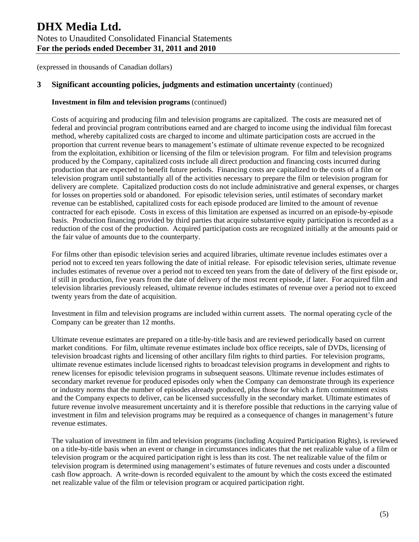## **3 Significant accounting policies, judgments and estimation uncertainty** (continued)

#### **Investment in film and television programs** (continued)

Costs of acquiring and producing film and television programs are capitalized. The costs are measured net of federal and provincial program contributions earned and are charged to income using the individual film forecast method, whereby capitalized costs are charged to income and ultimate participation costs are accrued in the proportion that current revenue bears to management's estimate of ultimate revenue expected to be recognized from the exploitation, exhibition or licensing of the film or television program. For film and television programs produced by the Company, capitalized costs include all direct production and financing costs incurred during production that are expected to benefit future periods. Financing costs are capitalized to the costs of a film or television program until substantially all of the activities necessary to prepare the film or television program for delivery are complete. Capitalized production costs do not include administrative and general expenses, or charges for losses on properties sold or abandoned. For episodic television series, until estimates of secondary market revenue can be established, capitalized costs for each episode produced are limited to the amount of revenue contracted for each episode. Costs in excess of this limitation are expensed as incurred on an episode-by-episode basis. Production financing provided by third parties that acquire substantive equity participation is recorded as a reduction of the cost of the production. Acquired participation costs are recognized initially at the amounts paid or the fair value of amounts due to the counterparty.

For films other than episodic television series and acquired libraries, ultimate revenue includes estimates over a period not to exceed ten years following the date of initial release. For episodic television series, ultimate revenue includes estimates of revenue over a period not to exceed ten years from the date of delivery of the first episode or, if still in production, five years from the date of delivery of the most recent episode, if later. For acquired film and television libraries previously released, ultimate revenue includes estimates of revenue over a period not to exceed twenty years from the date of acquisition.

Investment in film and television programs are included within current assets. The normal operating cycle of the Company can be greater than 12 months.

Ultimate revenue estimates are prepared on a title-by-title basis and are reviewed periodically based on current market conditions. For film, ultimate revenue estimates include box office receipts, sale of DVDs, licensing of television broadcast rights and licensing of other ancillary film rights to third parties. For television programs, ultimate revenue estimates include licensed rights to broadcast television programs in development and rights to renew licenses for episodic television programs in subsequent seasons. Ultimate revenue includes estimates of secondary market revenue for produced episodes only when the Company can demonstrate through its experience or industry norms that the number of episodes already produced, plus those for which a firm commitment exists and the Company expects to deliver, can be licensed successfully in the secondary market. Ultimate estimates of future revenue involve measurement uncertainty and it is therefore possible that reductions in the carrying value of investment in film and television programs may be required as a consequence of changes in management's future revenue estimates.

The valuation of investment in film and television programs (including Acquired Participation Rights), is reviewed on a title-by-title basis when an event or change in circumstances indicates that the net realizable value of a film or television program or the acquired participation right is less than its cost. The net realizable value of the film or television program is determined using management's estimates of future revenues and costs under a discounted cash flow approach. A write-down is recorded equivalent to the amount by which the costs exceed the estimated net realizable value of the film or television program or acquired participation right.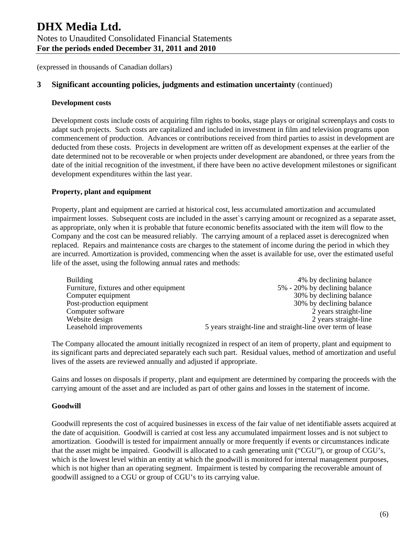## **3 Significant accounting policies, judgments and estimation uncertainty** (continued)

#### **Development costs**

Development costs include costs of acquiring film rights to books, stage plays or original screenplays and costs to adapt such projects. Such costs are capitalized and included in investment in film and television programs upon commencement of production. Advances or contributions received from third parties to assist in development are deducted from these costs. Projects in development are written off as development expenses at the earlier of the date determined not to be recoverable or when projects under development are abandoned, or three years from the date of the initial recognition of the investment, if there have been no active development milestones or significant development expenditures within the last year.

## **Property, plant and equipment**

Property, plant and equipment are carried at historical cost, less accumulated amortization and accumulated impairment losses. Subsequent costs are included in the asset`s carrying amount or recognized as a separate asset, as appropriate, only when it is probable that future economic benefits associated with the item will flow to the Company and the cost can be measured reliably. The carrying amount of a replaced asset is derecognized when replaced. Repairs and maintenance costs are charges to the statement of income during the period in which they are incurred. Amortization is provided, commencing when the asset is available for use, over the estimated useful life of the asset, using the following annual rates and methods:

| Building                                | 4% by declining balance                                    |
|-----------------------------------------|------------------------------------------------------------|
| Furniture, fixtures and other equipment | 5% - 20% by declining balance                              |
| Computer equipment                      | 30% by declining balance                                   |
| Post-production equipment               | 30% by declining balance                                   |
| Computer software                       | 2 years straight-line                                      |
| Website design                          | 2 years straight-line                                      |
| Leasehold improvements                  | 5 years straight-line and straight-line over term of lease |

The Company allocated the amount initially recognized in respect of an item of property, plant and equipment to its significant parts and depreciated separately each such part. Residual values, method of amortization and useful lives of the assets are reviewed annually and adjusted if appropriate.

Gains and losses on disposals if property, plant and equipment are determined by comparing the proceeds with the carrying amount of the asset and are included as part of other gains and losses in the statement of income.

#### **Goodwill**

Goodwill represents the cost of acquired businesses in excess of the fair value of net identifiable assets acquired at the date of acquisition. Goodwill is carried at cost less any accumulated impairment losses and is not subject to amortization. Goodwill is tested for impairment annually or more frequently if events or circumstances indicate that the asset might be impaired. Goodwill is allocated to a cash generating unit ("CGU"), or group of CGU's, which is the lowest level within an entity at which the goodwill is monitored for internal management purposes, which is not higher than an operating segment. Impairment is tested by comparing the recoverable amount of goodwill assigned to a CGU or group of CGU's to its carrying value.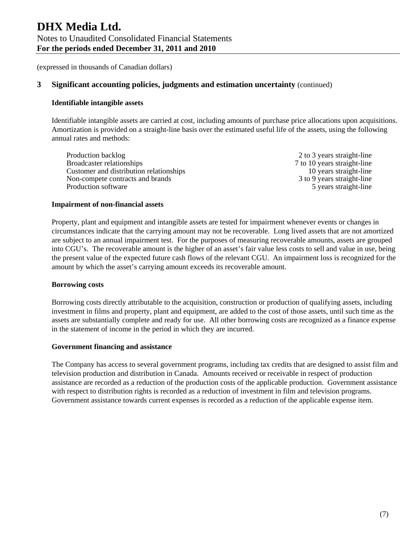## **3 Significant accounting policies, judgments and estimation uncertainty** (continued)

#### **Identifiable intangible assets**

Identifiable intangible assets are carried at cost, including amounts of purchase price allocations upon acquisitions. Amortization is provided on a straight-line basis over the estimated useful life of the assets, using the following annual rates and methods:

Production backlog 2 to 3 years straight-line Broadcaster relationships 7 to 10 years straight-line Customer and distribution relationships 10 years straight-line Non-compete contracts and brands 3 to 9 years straight-line Production software 5 years straight-line

#### **Impairment of non-financial assets**

Property, plant and equipment and intangible assets are tested for impairment whenever events or changes in circumstances indicate that the carrying amount may not be recoverable. Long lived assets that are not amortized are subject to an annual impairment test. For the purposes of measuring recoverable amounts, assets are grouped into CGU's. The recoverable amount is the higher of an asset's fair value less costs to sell and value in use, being the present value of the expected future cash flows of the relevant CGU. An impairment loss is recognized for the amount by which the asset's carrying amount exceeds its recoverable amount.

#### **Borrowing costs**

Borrowing costs directly attributable to the acquisition, construction or production of qualifying assets, including investment in films and property, plant and equipment, are added to the cost of those assets, until such time as the assets are substantially complete and ready for use. All other borrowing costs are recognized as a finance expense in the statement of income in the period in which they are incurred.

#### **Government financing and assistance**

The Company has access to several government programs, including tax credits that are designed to assist film and television production and distribution in Canada. Amounts received or receivable in respect of production assistance are recorded as a reduction of the production costs of the applicable production. Government assistance with respect to distribution rights is recorded as a reduction of investment in film and television programs. Government assistance towards current expenses is recorded as a reduction of the applicable expense item.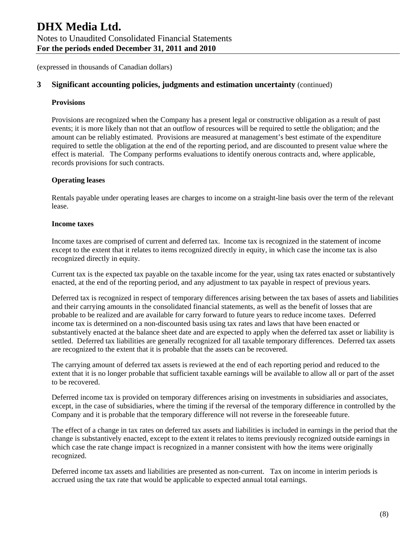## **3 Significant accounting policies, judgments and estimation uncertainty** (continued)

#### **Provisions**

Provisions are recognized when the Company has a present legal or constructive obligation as a result of past events; it is more likely than not that an outflow of resources will be required to settle the obligation; and the amount can be reliably estimated. Provisions are measured at management's best estimate of the expenditure required to settle the obligation at the end of the reporting period, and are discounted to present value where the effect is material. The Company performs evaluations to identify onerous contracts and, where applicable, records provisions for such contracts.

#### **Operating leases**

Rentals payable under operating leases are charges to income on a straight-line basis over the term of the relevant lease.

#### **Income taxes**

Income taxes are comprised of current and deferred tax. Income tax is recognized in the statement of income except to the extent that it relates to items recognized directly in equity, in which case the income tax is also recognized directly in equity.

Current tax is the expected tax payable on the taxable income for the year, using tax rates enacted or substantively enacted, at the end of the reporting period, and any adjustment to tax payable in respect of previous years.

Deferred tax is recognized in respect of temporary differences arising between the tax bases of assets and liabilities and their carrying amounts in the consolidated financial statements, as well as the benefit of losses that are probable to be realized and are available for carry forward to future years to reduce income taxes. Deferred income tax is determined on a non-discounted basis using tax rates and laws that have been enacted or substantively enacted at the balance sheet date and are expected to apply when the deferred tax asset or liability is settled. Deferred tax liabilities are generally recognized for all taxable temporary differences. Deferred tax assets are recognized to the extent that it is probable that the assets can be recovered.

The carrying amount of deferred tax assets is reviewed at the end of each reporting period and reduced to the extent that it is no longer probable that sufficient taxable earnings will be available to allow all or part of the asset to be recovered.

Deferred income tax is provided on temporary differences arising on investments in subsidiaries and associates, except, in the case of subsidiaries, where the timing if the reversal of the temporary difference in controlled by the Company and it is probable that the temporary difference will not reverse in the foreseeable future.

The effect of a change in tax rates on deferred tax assets and liabilities is included in earnings in the period that the change is substantively enacted, except to the extent it relates to items previously recognized outside earnings in which case the rate change impact is recognized in a manner consistent with how the items were originally recognized.

Deferred income tax assets and liabilities are presented as non-current. Tax on income in interim periods is accrued using the tax rate that would be applicable to expected annual total earnings.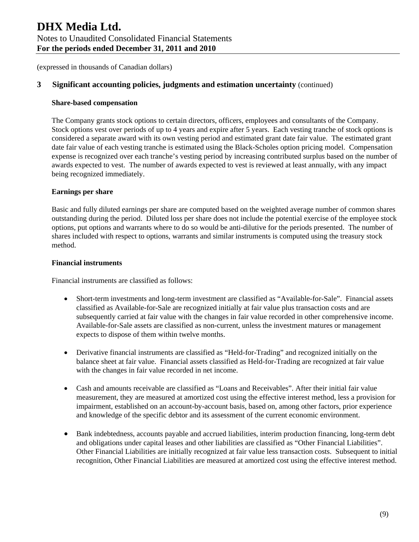## **3 Significant accounting policies, judgments and estimation uncertainty** (continued)

#### **Share-based compensation**

The Company grants stock options to certain directors, officers, employees and consultants of the Company. Stock options vest over periods of up to 4 years and expire after 5 years. Each vesting tranche of stock options is considered a separate award with its own vesting period and estimated grant date fair value. The estimated grant date fair value of each vesting tranche is estimated using the Black-Scholes option pricing model. Compensation expense is recognized over each tranche's vesting period by increasing contributed surplus based on the number of awards expected to vest. The number of awards expected to vest is reviewed at least annually, with any impact being recognized immediately.

#### **Earnings per share**

Basic and fully diluted earnings per share are computed based on the weighted average number of common shares outstanding during the period. Diluted loss per share does not include the potential exercise of the employee stock options, put options and warrants where to do so would be anti-dilutive for the periods presented. The number of shares included with respect to options, warrants and similar instruments is computed using the treasury stock method.

#### **Financial instruments**

Financial instruments are classified as follows:

- Short-term investments and long-term investment are classified as "Available-for-Sale". Financial assets classified as Available-for-Sale are recognized initially at fair value plus transaction costs and are subsequently carried at fair value with the changes in fair value recorded in other comprehensive income. Available-for-Sale assets are classified as non-current, unless the investment matures or management expects to dispose of them within twelve months.
- Derivative financial instruments are classified as "Held-for-Trading" and recognized initially on the balance sheet at fair value. Financial assets classified as Held-for-Trading are recognized at fair value with the changes in fair value recorded in net income.
- Cash and amounts receivable are classified as "Loans and Receivables". After their initial fair value measurement, they are measured at amortized cost using the effective interest method, less a provision for impairment, established on an account-by-account basis, based on, among other factors, prior experience and knowledge of the specific debtor and its assessment of the current economic environment.
- Bank indebtedness, accounts payable and accrued liabilities, interim production financing, long-term debt and obligations under capital leases and other liabilities are classified as "Other Financial Liabilities". Other Financial Liabilities are initially recognized at fair value less transaction costs. Subsequent to initial recognition, Other Financial Liabilities are measured at amortized cost using the effective interest method.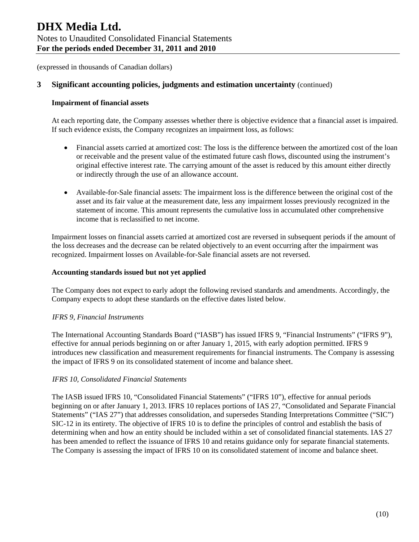## **3 Significant accounting policies, judgments and estimation uncertainty** (continued)

#### **Impairment of financial assets**

At each reporting date, the Company assesses whether there is objective evidence that a financial asset is impaired. If such evidence exists, the Company recognizes an impairment loss, as follows:

- Financial assets carried at amortized cost: The loss is the difference between the amortized cost of the loan or receivable and the present value of the estimated future cash flows, discounted using the instrument's original effective interest rate. The carrying amount of the asset is reduced by this amount either directly or indirectly through the use of an allowance account.
- Available-for-Sale financial assets: The impairment loss is the difference between the original cost of the asset and its fair value at the measurement date, less any impairment losses previously recognized in the statement of income. This amount represents the cumulative loss in accumulated other comprehensive income that is reclassified to net income.

Impairment losses on financial assets carried at amortized cost are reversed in subsequent periods if the amount of the loss decreases and the decrease can be related objectively to an event occurring after the impairment was recognized. Impairment losses on Available-for-Sale financial assets are not reversed.

#### **Accounting standards issued but not yet applied**

The Company does not expect to early adopt the following revised standards and amendments. Accordingly, the Company expects to adopt these standards on the effective dates listed below.

#### *IFRS 9, Financial Instruments*

The International Accounting Standards Board ("IASB") has issued IFRS 9, "Financial Instruments" ("IFRS 9"), effective for annual periods beginning on or after January 1, 2015, with early adoption permitted. IFRS 9 introduces new classification and measurement requirements for financial instruments. The Company is assessing the impact of IFRS 9 on its consolidated statement of income and balance sheet.

#### *IFRS 10, Consolidated Financial Statements*

The IASB issued IFRS 10, "Consolidated Financial Statements" ("IFRS 10"), effective for annual periods beginning on or after January 1, 2013. IFRS 10 replaces portions of IAS 27, "Consolidated and Separate Financial Statements" ("IAS 27") that addresses consolidation, and supersedes Standing Interpretations Committee ("SIC") SIC-12 in its entirety. The objective of IFRS 10 is to define the principles of control and establish the basis of determining when and how an entity should be included within a set of consolidated financial statements. IAS 27 has been amended to reflect the issuance of IFRS 10 and retains guidance only for separate financial statements. The Company is assessing the impact of IFRS 10 on its consolidated statement of income and balance sheet.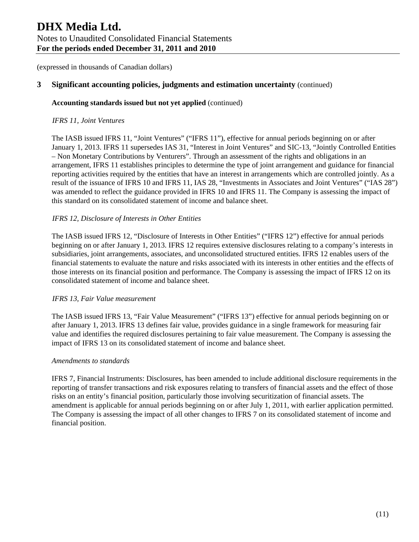## **3 Significant accounting policies, judgments and estimation uncertainty** (continued)

#### **Accounting standards issued but not yet applied** (continued)

#### *IFRS 11, Joint Ventures*

The IASB issued IFRS 11, "Joint Ventures" ("IFRS 11"), effective for annual periods beginning on or after January 1, 2013. IFRS 11 supersedes IAS 31, "Interest in Joint Ventures" and SIC-13, "Jointly Controlled Entities – Non Monetary Contributions by Venturers". Through an assessment of the rights and obligations in an arrangement, IFRS 11 establishes principles to determine the type of joint arrangement and guidance for financial reporting activities required by the entities that have an interest in arrangements which are controlled jointly. As a result of the issuance of IFRS 10 and IFRS 11, IAS 28, "Investments in Associates and Joint Ventures" ("IAS 28") was amended to reflect the guidance provided in IFRS 10 and IFRS 11. The Company is assessing the impact of this standard on its consolidated statement of income and balance sheet.

## *IFRS 12, Disclosure of Interests in Other Entities*

The IASB issued IFRS 12, "Disclosure of Interests in Other Entities" ("IFRS 12") effective for annual periods beginning on or after January 1, 2013. IFRS 12 requires extensive disclosures relating to a company's interests in subsidiaries, joint arrangements, associates, and unconsolidated structured entities. IFRS 12 enables users of the financial statements to evaluate the nature and risks associated with its interests in other entities and the effects of those interests on its financial position and performance. The Company is assessing the impact of IFRS 12 on its consolidated statement of income and balance sheet.

#### *IFRS 13, Fair Value measurement*

The IASB issued IFRS 13, "Fair Value Measurement" ("IFRS 13") effective for annual periods beginning on or after January 1, 2013. IFRS 13 defines fair value, provides guidance in a single framework for measuring fair value and identifies the required disclosures pertaining to fair value measurement. The Company is assessing the impact of IFRS 13 on its consolidated statement of income and balance sheet.

#### *Amendments to standards*

IFRS 7, Financial Instruments: Disclosures, has been amended to include additional disclosure requirements in the reporting of transfer transactions and risk exposures relating to transfers of financial assets and the effect of those risks on an entity's financial position, particularly those involving securitization of financial assets. The amendment is applicable for annual periods beginning on or after July 1, 2011, with earlier application permitted. The Company is assessing the impact of all other changes to IFRS 7 on its consolidated statement of income and financial position.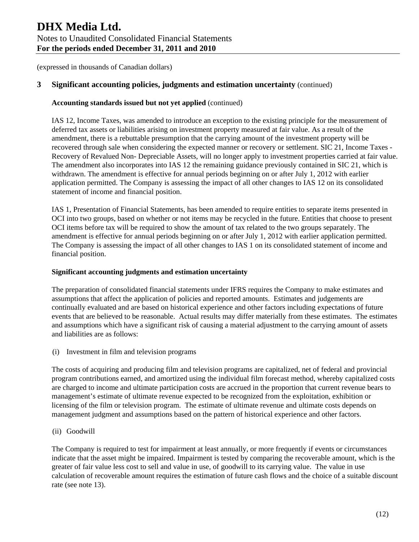## **3 Significant accounting policies, judgments and estimation uncertainty** (continued)

## **Accounting standards issued but not yet applied** (continued)

IAS 12, Income Taxes, was amended to introduce an exception to the existing principle for the measurement of deferred tax assets or liabilities arising on investment property measured at fair value. As a result of the amendment, there is a rebuttable presumption that the carrying amount of the investment property will be recovered through sale when considering the expected manner or recovery or settlement. SIC 21, Income Taxes - Recovery of Revalued Non- Depreciable Assets, will no longer apply to investment properties carried at fair value. The amendment also incorporates into IAS 12 the remaining guidance previously contained in SIC 21, which is withdrawn. The amendment is effective for annual periods beginning on or after July 1, 2012 with earlier application permitted. The Company is assessing the impact of all other changes to IAS 12 on its consolidated statement of income and financial position.

IAS 1, Presentation of Financial Statements, has been amended to require entities to separate items presented in OCI into two groups, based on whether or not items may be recycled in the future. Entities that choose to present OCI items before tax will be required to show the amount of tax related to the two groups separately. The amendment is effective for annual periods beginning on or after July 1, 2012 with earlier application permitted. The Company is assessing the impact of all other changes to IAS 1 on its consolidated statement of income and financial position.

#### **Significant accounting judgments and estimation uncertainty**

The preparation of consolidated financial statements under IFRS requires the Company to make estimates and assumptions that affect the application of policies and reported amounts. Estimates and judgements are continually evaluated and are based on historical experience and other factors including expectations of future events that are believed to be reasonable. Actual results may differ materially from these estimates. The estimates and assumptions which have a significant risk of causing a material adjustment to the carrying amount of assets and liabilities are as follows:

(i) Investment in film and television programs

The costs of acquiring and producing film and television programs are capitalized, net of federal and provincial program contributions earned, and amortized using the individual film forecast method, whereby capitalized costs are charged to income and ultimate participation costs are accrued in the proportion that current revenue bears to management's estimate of ultimate revenue expected to be recognized from the exploitation, exhibition or licensing of the film or television program. The estimate of ultimate revenue and ultimate costs depends on management judgment and assumptions based on the pattern of historical experience and other factors.

(ii) Goodwill

The Company is required to test for impairment at least annually, or more frequently if events or circumstances indicate that the asset might be impaired. Impairment is tested by comparing the recoverable amount, which is the greater of fair value less cost to sell and value in use, of goodwill to its carrying value. The value in use calculation of recoverable amount requires the estimation of future cash flows and the choice of a suitable discount rate (see note 13).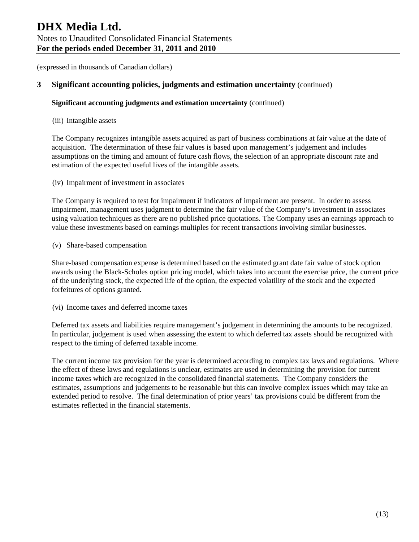## **3 Significant accounting policies, judgments and estimation uncertainty** (continued)

## **Significant accounting judgments and estimation uncertainty** (continued)

#### (iii) Intangible assets

The Company recognizes intangible assets acquired as part of business combinations at fair value at the date of acquisition. The determination of these fair values is based upon management's judgement and includes assumptions on the timing and amount of future cash flows, the selection of an appropriate discount rate and estimation of the expected useful lives of the intangible assets.

(iv) Impairment of investment in associates

The Company is required to test for impairment if indicators of impairment are present. In order to assess impairment, management uses judgment to determine the fair value of the Company's investment in associates using valuation techniques as there are no published price quotations. The Company uses an earnings approach to value these investments based on earnings multiples for recent transactions involving similar businesses.

(v) Share-based compensation

Share-based compensation expense is determined based on the estimated grant date fair value of stock option awards using the Black-Scholes option pricing model, which takes into account the exercise price, the current price of the underlying stock, the expected life of the option, the expected volatility of the stock and the expected forfeitures of options granted.

(vi) Income taxes and deferred income taxes

Deferred tax assets and liabilities require management's judgement in determining the amounts to be recognized. In particular, judgement is used when assessing the extent to which deferred tax assets should be recognized with respect to the timing of deferred taxable income.

The current income tax provision for the year is determined according to complex tax laws and regulations. Where the effect of these laws and regulations is unclear, estimates are used in determining the provision for current income taxes which are recognized in the consolidated financial statements. The Company considers the estimates, assumptions and judgements to be reasonable but this can involve complex issues which may take an extended period to resolve. The final determination of prior years' tax provisions could be different from the estimates reflected in the financial statements.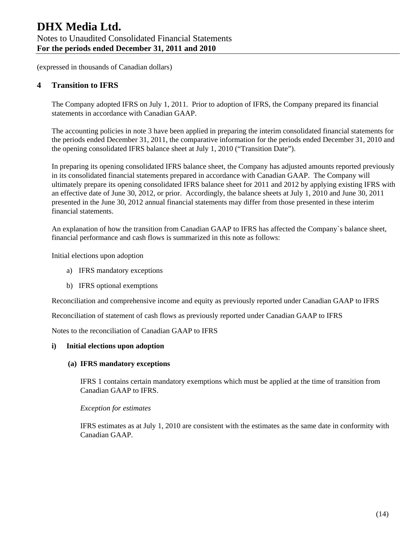## **4 Transition to IFRS**

The Company adopted IFRS on July 1, 2011. Prior to adoption of IFRS, the Company prepared its financial statements in accordance with Canadian GAAP.

The accounting policies in note 3 have been applied in preparing the interim consolidated financial statements for the periods ended December 31, 2011, the comparative information for the periods ended December 31, 2010 and the opening consolidated IFRS balance sheet at July 1, 2010 ("Transition Date").

In preparing its opening consolidated IFRS balance sheet, the Company has adjusted amounts reported previously in its consolidated financial statements prepared in accordance with Canadian GAAP. The Company will ultimately prepare its opening consolidated IFRS balance sheet for 2011 and 2012 by applying existing IFRS with an effective date of June 30, 2012, or prior. Accordingly, the balance sheets at July 1, 2010 and June 30, 2011 presented in the June 30, 2012 annual financial statements may differ from those presented in these interim financial statements.

An explanation of how the transition from Canadian GAAP to IFRS has affected the Company`s balance sheet, financial performance and cash flows is summarized in this note as follows:

Initial elections upon adoption

- a) IFRS mandatory exceptions
- b) IFRS optional exemptions

Reconciliation and comprehensive income and equity as previously reported under Canadian GAAP to IFRS

Reconciliation of statement of cash flows as previously reported under Canadian GAAP to IFRS

Notes to the reconciliation of Canadian GAAP to IFRS

#### **i) Initial elections upon adoption**

#### **(a) IFRS mandatory exceptions**

IFRS 1 contains certain mandatory exemptions which must be applied at the time of transition from Canadian GAAP to IFRS.

*Exception for estimates* 

IFRS estimates as at July 1, 2010 are consistent with the estimates as the same date in conformity with Canadian GAAP.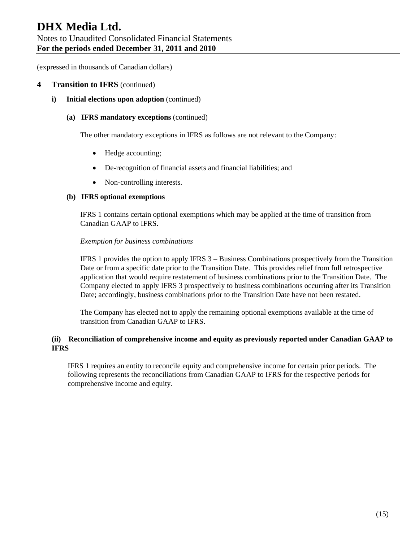# **DHX Media Ltd.**  Notes to Unaudited Consolidated Financial Statements **For the periods ended December 31, 2011 and 2010**

(expressed in thousands of Canadian dollars)

## **4 Transition to IFRS** (continued)

**i)** Initial elections upon adoption (continued)

#### **(a) IFRS mandatory exceptions** (continued)

The other mandatory exceptions in IFRS as follows are not relevant to the Company:

- Hedge accounting;
- De-recognition of financial assets and financial liabilities; and
- Non-controlling interests.

#### **(b) IFRS optional exemptions**

IFRS 1 contains certain optional exemptions which may be applied at the time of transition from Canadian GAAP to IFRS.

#### *Exemption for business combinations*

IFRS 1 provides the option to apply IFRS 3 – Business Combinations prospectively from the Transition Date or from a specific date prior to the Transition Date. This provides relief from full retrospective application that would require restatement of business combinations prior to the Transition Date. The Company elected to apply IFRS 3 prospectively to business combinations occurring after its Transition Date; accordingly, business combinations prior to the Transition Date have not been restated.

The Company has elected not to apply the remaining optional exemptions available at the time of transition from Canadian GAAP to IFRS.

## **(ii) Reconciliation of comprehensive income and equity as previously reported under Canadian GAAP to IFRS**

IFRS 1 requires an entity to reconcile equity and comprehensive income for certain prior periods. The following represents the reconciliations from Canadian GAAP to IFRS for the respective periods for comprehensive income and equity.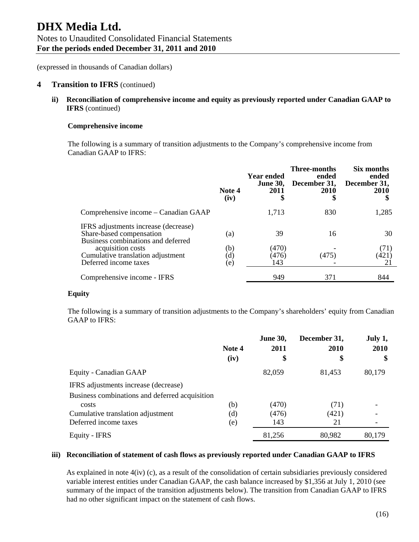#### **4 Transition to IFRS** (continued)

**ii) Reconciliation of comprehensive income and equity as previously reported under Canadian GAAP to IFRS** (continued)

#### **Comprehensive income**

The following is a summary of transition adjustments to the Company's comprehensive income from Canadian GAAP to IFRS:

|                                                                                                        | Note 4<br>(iv)                           | Year ended<br><b>June 30,</b><br>2011<br>\$ | Three-months<br>ended<br>December 31,<br>2010<br>\$ | Six months<br>ended<br>December 31,<br><b>2010</b> |
|--------------------------------------------------------------------------------------------------------|------------------------------------------|---------------------------------------------|-----------------------------------------------------|----------------------------------------------------|
| Comprehensive income – Canadian GAAP                                                                   |                                          | 1,713                                       | 830                                                 | 1,285                                              |
| IFRS adjustments increase (decrease)<br>Share-based compensation<br>Business combinations and deferred | (a)                                      | 39                                          | 16                                                  | 30                                                 |
| acquisition costs<br>Cumulative translation adjustment<br>Deferred income taxes                        | (b)<br>$\left( \mathrm{d}\right)$<br>(e) | (470)<br>(476)<br>143                       | (475)                                               | (71)<br>(421)<br>21                                |
| Comprehensive income - IFRS                                                                            |                                          | 949                                         | 371                                                 | 844                                                |

#### **Equity**

The following is a summary of transition adjustments to the Company's shareholders' equity from Canadian GAAP to IFRS:

|                                                | Note 4<br>(iv) | <b>June 30,</b><br>2011<br>\$ | December 31,<br><b>2010</b><br>\$ | July 1,<br>2010<br>\$ |
|------------------------------------------------|----------------|-------------------------------|-----------------------------------|-----------------------|
| Equity - Canadian GAAP                         |                | 82,059                        | 81,453                            | 80,179                |
| IFRS adjustments increase (decrease)           |                |                               |                                   |                       |
| Business combinations and deferred acquisition |                |                               |                                   |                       |
| costs                                          | (b)            | (470)                         | (71)                              |                       |
| Cumulative translation adjustment              | (d)            | (476)                         | (421)                             |                       |
| Deferred income taxes                          | (e)            | 143                           | 21                                |                       |
| Equity - IFRS                                  |                | 81,256                        | 80,982                            | 80,179                |

#### **iii) Reconciliation of statement of cash flows as previously reported under Canadian GAAP to IFRS**

As explained in note 4(iv) (c), as a result of the consolidation of certain subsidiaries previously considered variable interest entities under Canadian GAAP, the cash balance increased by \$1,356 at July 1, 2010 (see summary of the impact of the transition adjustments below). The transition from Canadian GAAP to IFRS had no other significant impact on the statement of cash flows.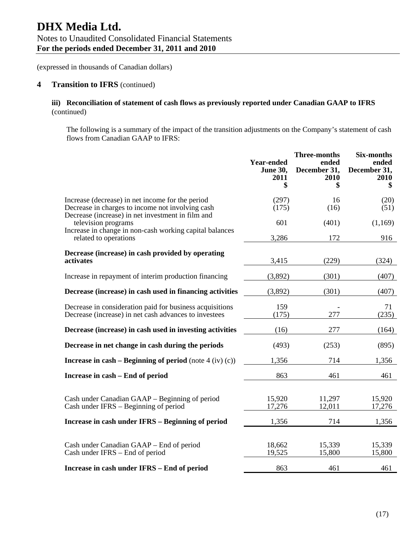## **4 Transition to IFRS** (continued)

## **iii) Reconciliation of statement of cash flows as previously reported under Canadian GAAP to IFRS**  (continued)

The following is a summary of the impact of the transition adjustments on the Company's statement of cash flows from Canadian GAAP to IFRS:

|                                                                                                                                                           | <b>Year-ended</b><br><b>June 30,</b><br>2011<br>\$ | <b>Three-months</b><br>ended<br>December 31,<br>2010<br>\$ | <b>Six-months</b><br>ended<br>December 31,<br>2010<br>\$ |
|-----------------------------------------------------------------------------------------------------------------------------------------------------------|----------------------------------------------------|------------------------------------------------------------|----------------------------------------------------------|
| Increase (decrease) in net income for the period<br>Decrease in charges to income not involving cash<br>Decrease (increase) in net investment in film and | (297)<br>(175)                                     | 16<br>(16)                                                 | (20)<br>(51)                                             |
| television programs<br>Increase in change in non-cash working capital balances<br>related to operations                                                   | 601<br>3,286                                       | (401)<br>172                                               | (1,169)<br>916                                           |
| Decrease (increase) in cash provided by operating<br>activates                                                                                            | 3,415                                              | (229)                                                      | (324)                                                    |
| Increase in repayment of interim production financing                                                                                                     | (3,892)                                            | (301)                                                      | (407)                                                    |
| Decrease (increase) in cash used in financing activities                                                                                                  | (3,892)                                            | (301)                                                      | (407)                                                    |
| Decrease in consideration paid for business acquisitions<br>Decrease (increase) in net cash advances to investees                                         | 159<br>(175)                                       | 277                                                        | 71<br>(235)                                              |
| Decrease (increase) in cash used in investing activities                                                                                                  | (16)                                               | 277                                                        | (164)                                                    |
| Decrease in net change in cash during the periods                                                                                                         | (493)                                              | (253)                                                      | (895)                                                    |
| Increase in cash – Beginning of period (note $4$ (iv) (c))                                                                                                | 1,356                                              | 714                                                        | 1,356                                                    |
| Increase in cash – End of period                                                                                                                          | 863                                                | 461                                                        | 461                                                      |
| Cash under Canadian GAAP – Beginning of period<br>Cash under IFRS – Beginning of period                                                                   | 15,920<br>17,276                                   | 11,297<br>12,011                                           | 15,920<br>17,276                                         |
| Increase in cash under IFRS - Beginning of period                                                                                                         | 1,356                                              | 714                                                        | 1,356                                                    |
| Cash under Canadian GAAP – End of period<br>Cash under IFRS – End of period                                                                               | 18,662<br>19,525                                   | 15,339<br>15,800                                           | 15,339<br>15,800                                         |
| Increase in cash under IFRS - End of period                                                                                                               | 863                                                | 461                                                        | 461                                                      |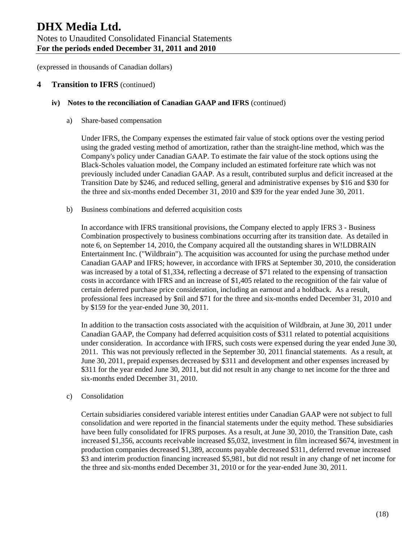## **4 Transition to IFRS** (continued)

#### **iv) Notes to the reconciliation of Canadian GAAP and IFRS** (continued)

a) Share-based compensation

Under IFRS, the Company expenses the estimated fair value of stock options over the vesting period using the graded vesting method of amortization, rather than the straight-line method, which was the Company's policy under Canadian GAAP. To estimate the fair value of the stock options using the Black-Scholes valuation model, the Company included an estimated forfeiture rate which was not previously included under Canadian GAAP. As a result, contributed surplus and deficit increased at the Transition Date by \$246, and reduced selling, general and administrative expenses by \$16 and \$30 for the three and six-months ended December 31, 2010 and \$39 for the year ended June 30, 2011.

b) Business combinations and deferred acquisition costs

In accordance with IFRS transitional provisions, the Company elected to apply IFRS 3 - Business Combination prospectively to business combinations occurring after its transition date. As detailed in note 6, on September 14, 2010, the Company acquired all the outstanding shares in W!LDBRAIN Entertainment Inc. ("Wildbrain"). The acquisition was accounted for using the purchase method under Canadian GAAP and IFRS; however, in accordance with IFRS at September 30, 2010, the consideration was increased by a total of \$1,334, reflecting a decrease of \$71 related to the expensing of transaction costs in accordance with IFRS and an increase of \$1,405 related to the recognition of the fair value of certain deferred purchase price consideration, including an earnout and a holdback. As a result, professional fees increased by \$nil and \$71 for the three and six-months ended December 31, 2010 and by \$159 for the year-ended June 30, 2011.

In addition to the transaction costs associated with the acquisition of Wildbrain, at June 30, 2011 under Canadian GAAP, the Company had deferred acquisition costs of \$311 related to potential acquisitions under consideration. In accordance with IFRS, such costs were expensed during the year ended June 30, 2011. This was not previously reflected in the September 30, 2011 financial statements. As a result, at June 30, 2011, prepaid expenses decreased by \$311 and development and other expenses increased by \$311 for the year ended June 30, 2011, but did not result in any change to net income for the three and six-months ended December 31, 2010.

#### c) Consolidation

Certain subsidiaries considered variable interest entities under Canadian GAAP were not subject to full consolidation and were reported in the financial statements under the equity method. These subsidiaries have been fully consolidated for IFRS purposes. As a result, at June 30, 2010, the Transition Date, cash increased \$1,356, accounts receivable increased \$5,032, investment in film increased \$674, investment in production companies decreased \$1,389, accounts payable decreased \$311, deferred revenue increased \$3 and interim production financing increased \$5,981, but did not result in any change of net income for the three and six-months ended December 31, 2010 or for the year-ended June 30, 2011.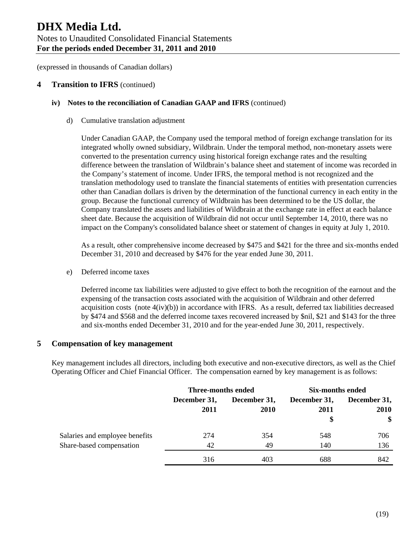## **4 Transition to IFRS** (continued)

#### **iv) Notes to the reconciliation of Canadian GAAP and IFRS** (continued)

d) Cumulative translation adjustment

Under Canadian GAAP, the Company used the temporal method of foreign exchange translation for its integrated wholly owned subsidiary, Wildbrain. Under the temporal method, non-monetary assets were converted to the presentation currency using historical foreign exchange rates and the resulting difference between the translation of Wildbrain's balance sheet and statement of income was recorded in the Company's statement of income. Under IFRS, the temporal method is not recognized and the translation methodology used to translate the financial statements of entities with presentation currencies other than Canadian dollars is driven by the determination of the functional currency in each entity in the group. Because the functional currency of Wildbrain has been determined to be the US dollar, the Company translated the assets and liabilities of Wildbrain at the exchange rate in effect at each balance sheet date. Because the acquisition of Wildbrain did not occur until September 14, 2010, there was no impact on the Company's consolidated balance sheet or statement of changes in equity at July 1, 2010.

As a result, other comprehensive income decreased by \$475 and \$421 for the three and six-months ended December 31, 2010 and decreased by \$476 for the year ended June 30, 2011.

e) Deferred income taxes

Deferred income tax liabilities were adjusted to give effect to both the recognition of the earnout and the expensing of the transaction costs associated with the acquisition of Wildbrain and other deferred acquisition costs (note  $4(iv)(b)$ ) in accordance with IFRS. As a result, deferred tax liabilities decreased by \$474 and \$568 and the deferred income taxes recovered increased by \$nil, \$21 and \$143 for the three and six-months ended December 31, 2010 and for the year-ended June 30, 2011, respectively.

#### **5 Compensation of key management**

Key management includes all directors, including both executive and non-executive directors, as well as the Chief Operating Officer and Chief Financial Officer. The compensation earned by key management is as follows:

|                                | Three-months ended   |                             | <b>Six-months ended</b>    |                                   |
|--------------------------------|----------------------|-----------------------------|----------------------------|-----------------------------------|
|                                | December 31,<br>2011 | December 31,<br><b>2010</b> | December 31,<br>2011<br>\$ | December 31,<br><b>2010</b><br>\$ |
| Salaries and employee benefits | 274                  | 354                         | 548                        | 706                               |
| Share-based compensation       | 42                   | 49                          | 140                        | 136                               |
|                                | 316                  | 403                         | 688                        | 842                               |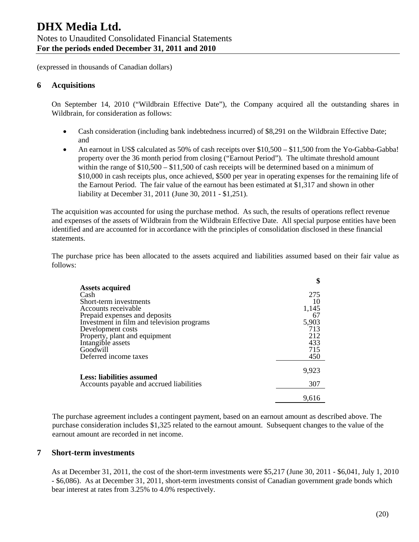## **6 Acquisitions**

On September 14, 2010 ("Wildbrain Effective Date"), the Company acquired all the outstanding shares in Wildbrain, for consideration as follows:

- Cash consideration (including bank indebtedness incurred) of \$8,291 on the Wildbrain Effective Date; and
- An earnout in US\$ calculated as 50% of cash receipts over \$10,500 \$11,500 from the Yo-Gabba-Gabba! property over the 36 month period from closing ("Earnout Period"). The ultimate threshold amount within the range of  $$10,500 - $11,500$  of cash receipts will be determined based on a minimum of \$10,000 in cash receipts plus, once achieved, \$500 per year in operating expenses for the remaining life of the Earnout Period. The fair value of the earnout has been estimated at \$1,317 and shown in other liability at December 31, 2011 (June 30, 2011 - \$1,251).

The acquisition was accounted for using the purchase method. As such, the results of operations reflect revenue and expenses of the assets of Wildbrain from the Wildbrain Effective Date. All special purpose entities have been identified and are accounted for in accordance with the principles of consolidation disclosed in these financial statements.

The purchase price has been allocated to the assets acquired and liabilities assumed based on their fair value as follows:

|                                            | \$    |
|--------------------------------------------|-------|
| <b>Assets acquired</b>                     |       |
| Cash                                       | 275   |
| Short-term investments                     | 10    |
| Accounts receivable                        | 1,145 |
| Prepaid expenses and deposits              | 67    |
| Investment in film and television programs | 5,903 |
| Development costs                          | 713   |
| Property, plant and equipment              | 212   |
| Intangible assets                          | 433   |
| Goodwill                                   | 715   |
| Deferred income taxes                      | 450   |
|                                            | 9,923 |
| Less: liabilities assumed                  |       |
| Accounts payable and accrued liabilities   | 307   |
|                                            | 9.616 |

The purchase agreement includes a contingent payment, based on an earnout amount as described above. The purchase consideration includes \$1,325 related to the earnout amount. Subsequent changes to the value of the earnout amount are recorded in net income.

#### **7 Short-term investments**

As at December 31, 2011, the cost of the short-term investments were \$5,217 (June 30, 2011 - \$6,041, July 1, 2010 - \$6,086). As at December 31, 2011, short-term investments consist of Canadian government grade bonds which bear interest at rates from 3.25% to 4.0% respectively.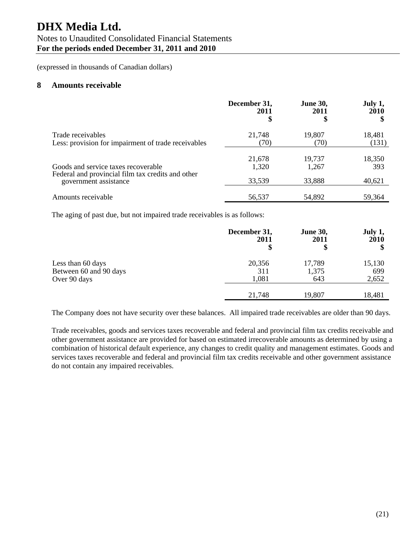# **DHX Media Ltd.**

## Notes to Unaudited Consolidated Financial Statements **For the periods ended December 31, 2011 and 2010**

(expressed in thousands of Canadian dollars)

#### **8 Amounts receivable**

|                                                                            | December 31,<br>2011<br>\$ | <b>June 30,</b><br>2011<br>\$ | July 1,<br>2010 |
|----------------------------------------------------------------------------|----------------------------|-------------------------------|-----------------|
| Trade receivables<br>Less: provision for impairment of trade receivables   | 21,748<br>(70)             | 19,807<br>(70)                | 18,481<br>(131) |
| Goods and service taxes recoverable                                        | 21,678<br>1,320            | 19,737<br>1,267               | 18,350<br>393   |
| Federal and provincial film tax credits and other<br>government assistance | 33,539                     | 33,888                        | 40,621          |
| Amounts receivable                                                         | 56,537                     | 54,892                        | 59.364          |

The aging of past due, but not impaired trade receivables is as follows:

|                                             | December 31,<br>2011<br>\$ | <b>June 30,</b><br>2011<br>\$ | July 1,<br>2010 |
|---------------------------------------------|----------------------------|-------------------------------|-----------------|
| Less than 60 days<br>Between 60 and 90 days | 20,356<br>311              | 17,789<br>1,375               | 15,130<br>699   |
| Over 90 days                                | 1,081                      | 643                           | 2,652           |
|                                             | 21,748                     | 19,807                        | 18,481          |

The Company does not have security over these balances. All impaired trade receivables are older than 90 days.

Trade receivables, goods and services taxes recoverable and federal and provincial film tax credits receivable and other government assistance are provided for based on estimated irrecoverable amounts as determined by using a combination of historical default experience, any changes to credit quality and management estimates. Goods and services taxes recoverable and federal and provincial film tax credits receivable and other government assistance do not contain any impaired receivables.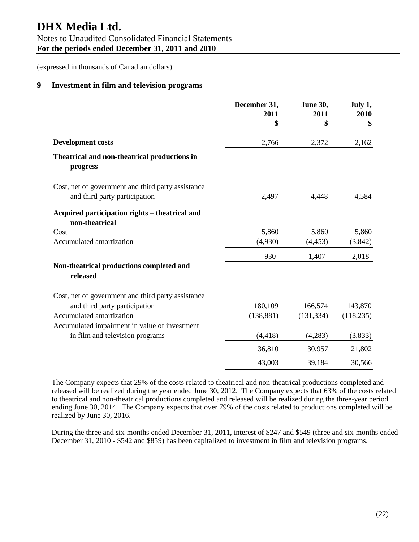# **DHX Media Ltd.**

Notes to Unaudited Consolidated Financial Statements **For the periods ended December 31, 2011 and 2010** 

(expressed in thousands of Canadian dollars)

## **9 Investment in film and television programs**

|                                                                                     | December 31,<br>2011<br>\$ | June 30,<br>2011<br>\$ | July 1,<br>2010<br>\$ |
|-------------------------------------------------------------------------------------|----------------------------|------------------------|-----------------------|
| <b>Development costs</b>                                                            | 2,766                      | 2,372                  | 2,162                 |
| Theatrical and non-theatrical productions in<br>progress                            |                            |                        |                       |
| Cost, net of government and third party assistance<br>and third party participation | 2,497                      | 4,448                  | 4,584                 |
| Acquired participation rights - theatrical and<br>non-theatrical                    |                            |                        |                       |
| Cost                                                                                | 5,860                      | 5,860                  | 5,860                 |
| Accumulated amortization                                                            | (4,930)                    | (4, 453)               | (3,842)               |
|                                                                                     | 930                        | 1,407                  | 2,018                 |
| Non-theatrical productions completed and<br>released                                |                            |                        |                       |
| Cost, net of government and third party assistance                                  |                            |                        |                       |
| and third party participation                                                       | 180,109                    | 166,574                | 143,870               |
| Accumulated amortization                                                            | (138, 881)                 | (131, 334)             | (118, 235)            |
| Accumulated impairment in value of investment                                       |                            |                        |                       |
| in film and television programs                                                     | (4, 418)                   | (4,283)                | (3,833)               |
|                                                                                     | 36,810                     | 30,957                 | 21,802                |
|                                                                                     | 43,003                     | 39,184                 | 30,566                |

The Company expects that 29% of the costs related to theatrical and non-theatrical productions completed and released will be realized during the year ended June 30, 2012. The Company expects that 63% of the costs related to theatrical and non-theatrical productions completed and released will be realized during the three-year period ending June 30, 2014. The Company expects that over 79% of the costs related to productions completed will be realized by June 30, 2016.

During the three and six-months ended December 31, 2011, interest of \$247 and \$549 (three and six-months ended December 31, 2010 - \$542 and \$859) has been capitalized to investment in film and television programs.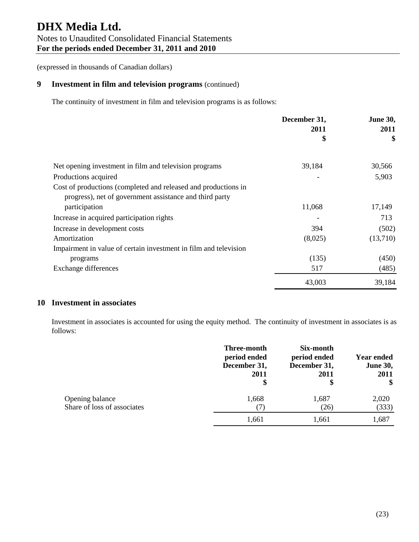## **9 Investment in film and television programs** (continued)

The continuity of investment in film and television programs is as follows:

|                                                                                                                           | December 31, | <b>June 30,</b> |
|---------------------------------------------------------------------------------------------------------------------------|--------------|-----------------|
|                                                                                                                           | 2011<br>\$   | 2011<br>\$      |
| Net opening investment in film and television programs                                                                    | 39,184       | 30,566          |
| Productions acquired                                                                                                      |              | 5,903           |
| Cost of productions (completed and released and productions in<br>progress), net of government assistance and third party |              |                 |
| participation                                                                                                             | 11,068       | 17,149          |
| Increase in acquired participation rights                                                                                 |              | 713             |
| Increase in development costs                                                                                             | 394          | (502)           |
| Amortization                                                                                                              | (8,025)      | (13,710)        |
| Impairment in value of certain investment in film and television                                                          |              |                 |
| programs                                                                                                                  | (135)        | (450)           |
| Exchange differences                                                                                                      | 517          | (485)           |
|                                                                                                                           | 43,003       | 39,184          |

## **10 Investment in associates**

Investment in associates is accounted for using the equity method. The continuity of investment in associates is as follows:

|                                                | Three-month<br>period ended<br>December 31,<br>2011<br>\$ | Six-month<br>period ended<br>December 31,<br>2011<br>\$ | <b>Year ended</b><br><b>June 30,</b><br>2011<br>\$ |
|------------------------------------------------|-----------------------------------------------------------|---------------------------------------------------------|----------------------------------------------------|
| Opening balance<br>Share of loss of associates | 1,668                                                     | 1,687<br>(26)                                           | 2,020<br>(333)                                     |
|                                                | 1,661                                                     | 1,661                                                   | 1,687                                              |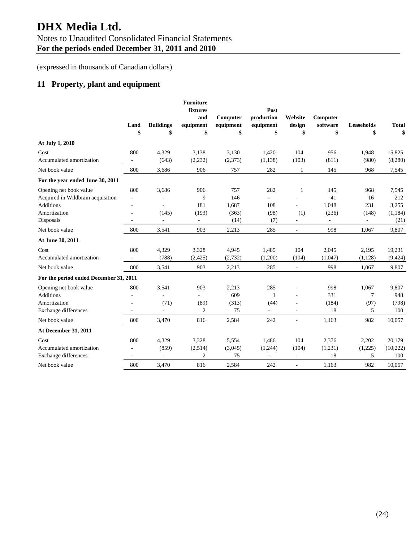# **DHX Media Ltd.**  Notes to Unaudited Consolidated Financial Statements **For the periods ended December 31, 2011 and 2010**

(expressed in thousands of Canadian dollars)

## **11 Property, plant and equipment**

| At July 1, 2010                        | Land<br>\$               | <b>Buildings</b><br>\$   | <b>Furniture</b><br>fixtures<br>and<br>equipment<br>\$ | Computer<br>equipment<br>\$ | Post<br>production<br>equipment<br>\$ | Website<br>design<br>\$  | Computer<br>software<br>\$ | <b>Leaseholds</b><br>\$  | <b>Total</b><br>\$ |
|----------------------------------------|--------------------------|--------------------------|--------------------------------------------------------|-----------------------------|---------------------------------------|--------------------------|----------------------------|--------------------------|--------------------|
| Cost                                   | 800                      | 4,329                    | 3,138                                                  | 3,130                       | 1,420                                 | 104                      | 956                        | 1,948                    | 15,825             |
| Accumulated amortization               |                          | (643)                    | (2, 232)                                               | (2,373)                     | (1, 138)                              | (103)                    | (811)                      | (980)                    | (8,280)            |
| Net book value                         | 800                      | 3,686                    | 906                                                    | 757                         | 282                                   | $\mathbf{1}$             | 145                        | 968                      | 7,545              |
| For the year ended June 30, 2011       |                          |                          |                                                        |                             |                                       |                          |                            |                          |                    |
| Opening net book value                 | 800                      | 3,686                    | 906                                                    | 757                         | 282                                   | $\mathbf{1}$             | 145                        | 968                      | 7,545              |
| Acquired in Wildbrain acquisition      | $\overline{\phantom{a}}$ |                          | 9                                                      | 146                         | $\omega$                              |                          | 41                         | 16                       | 212                |
| <b>Additions</b>                       | ä,                       | ä,                       | 181                                                    | 1,687                       | 108                                   |                          | 1,048                      | 231                      | 3,255              |
| Amortization                           | $\overline{a}$           | (145)                    | (193)                                                  | (363)                       | (98)                                  | (1)                      | (236)                      | (148)                    | (1, 184)           |
| Disposals                              | ÷,                       | $\sim$                   | $\omega$                                               | (14)                        | (7)                                   | $\overline{\phantom{a}}$ | $\overline{\phantom{a}}$   | $\overline{\phantom{a}}$ | (21)               |
| Net book value                         | 800                      | 3,541                    | 903                                                    | 2,213                       | 285                                   | $\overline{\phantom{a}}$ | 998                        | 1,067                    | 9,807              |
| At June 30, 2011                       |                          |                          |                                                        |                             |                                       |                          |                            |                          |                    |
| Cost                                   | 800                      | 4,329                    | 3,328                                                  | 4,945                       | 1,485                                 | 104                      | 2,045                      | 2,195                    | 19,231             |
| Accumulated amortization               |                          | (788)                    | (2, 425)                                               | (2,732)                     | (1,200)                               | (104)                    | (1,047)                    | (1, 128)                 | (9, 424)           |
| Net book value                         | 800                      | 3,541                    | 903                                                    | 2,213                       | 285                                   | $\overline{\phantom{a}}$ | 998                        | 1.067                    | 9,807              |
| For the period ended December 31, 2011 |                          |                          |                                                        |                             |                                       |                          |                            |                          |                    |
| Opening net book value                 | 800                      | 3,541                    | 903                                                    | 2,213                       | 285                                   | ÷                        | 998                        | 1,067                    | 9,807              |
| <b>Additions</b>                       | ä,                       | ÷,                       | $\overline{a}$                                         | 609                         | $\mathbf{1}$                          | ä,                       | 331                        | 7                        | 948                |
| Amortization                           |                          | (71)                     | (89)                                                   | (313)                       | (44)                                  | ä,                       | (184)                      | (97)                     | (798)              |
| <b>Exchange differences</b>            |                          | ä,                       | 2                                                      | 75                          | $\bar{a}$                             | $\overline{\phantom{a}}$ | 18                         | 5                        | 100                |
| Net book value                         | 800                      | 3,470                    | 816                                                    | 2,584                       | 242                                   | $\blacksquare$           | 1,163                      | 982                      | 10,057             |
| At December 31, 2011                   |                          |                          |                                                        |                             |                                       |                          |                            |                          |                    |
| Cost                                   | 800                      | 4,329                    | 3,328                                                  | 5,554                       | 1,486                                 | 104                      | 2,376                      | 2,202                    | 20,179             |
| Accumulated amortization               |                          | (859)                    | (2,514)                                                | (3,045)                     | (1,244)                               | (104)                    | (1,231)                    | (1,225)                  | (10, 222)          |
| Exchange differences                   | $\overline{\phantom{a}}$ | $\overline{\phantom{a}}$ | 2                                                      | 75                          | $\overline{\phantom{a}}$              | $\overline{\phantom{a}}$ | 18                         | 5                        | 100                |
| Net book value                         | 800                      | 3.470                    | 816                                                    | 2.584                       | 242                                   | $\overline{\phantom{a}}$ | 1.163                      | 982                      | 10,057             |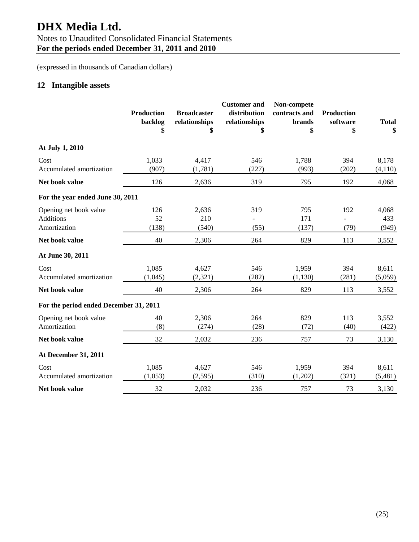# **DHX Media Ltd.**

# Notes to Unaudited Consolidated Financial Statements

**For the periods ended December 31, 2011 and 2010** 

(expressed in thousands of Canadian dollars)

## **12 Intangible assets**

|                                                            | <b>Production</b><br>backlog<br>\$ | <b>Broadcaster</b><br>relationships<br>\$ | <b>Customer</b> and<br>distribution<br>relationships<br>\$ | Non-compete<br>contracts and<br><b>brands</b><br>\$ | <b>Production</b><br>software<br>\$ | <b>Total</b><br>\$    |
|------------------------------------------------------------|------------------------------------|-------------------------------------------|------------------------------------------------------------|-----------------------------------------------------|-------------------------------------|-----------------------|
| At July 1, 2010                                            |                                    |                                           |                                                            |                                                     |                                     |                       |
| Cost<br>Accumulated amortization                           | 1,033<br>(907)                     | 4,417<br>(1,781)                          | 546<br>(227)                                               | 1,788<br>(993)                                      | 394<br>(202)                        | 8,178<br>(4,110)      |
| Net book value                                             | 126                                | 2,636                                     | 319                                                        | 795                                                 | 192                                 | 4,068                 |
| For the year ended June 30, 2011                           |                                    |                                           |                                                            |                                                     |                                     |                       |
| Opening net book value<br><b>Additions</b><br>Amortization | 126<br>52<br>(138)                 | 2,636<br>210<br>(540)                     | 319<br>(55)                                                | 795<br>171<br>(137)                                 | 192<br>(79)                         | 4,068<br>433<br>(949) |
| Net book value                                             | 40                                 | 2,306                                     | 264                                                        | 829                                                 | 113                                 | 3,552                 |
| At June 30, 2011                                           |                                    |                                           |                                                            |                                                     |                                     |                       |
| Cost<br>Accumulated amortization                           | 1,085<br>(1,045)                   | 4,627<br>(2,321)                          | 546<br>(282)                                               | 1,959<br>(1,130)                                    | 394<br>(281)                        | 8,611<br>(5,059)      |
| Net book value                                             | 40                                 | 2,306                                     | 264                                                        | 829                                                 | 113                                 | 3,552                 |
| For the period ended December 31, 2011                     |                                    |                                           |                                                            |                                                     |                                     |                       |
| Opening net book value<br>Amortization                     | 40<br>(8)                          | 2,306<br>(274)                            | 264<br>(28)                                                | 829<br>(72)                                         | 113<br>(40)                         | 3,552<br>(422)        |
| Net book value                                             | 32                                 | 2,032                                     | 236                                                        | 757                                                 | 73                                  | 3,130                 |
| At December 31, 2011                                       |                                    |                                           |                                                            |                                                     |                                     |                       |
| Cost<br>Accumulated amortization                           | 1,085<br>(1,053)                   | 4,627<br>(2, 595)                         | 546<br>(310)                                               | 1,959<br>(1,202)                                    | 394<br>(321)                        | 8,611<br>(5,481)      |
| Net book value                                             | 32                                 | 2,032                                     | 236                                                        | 757                                                 | 73                                  | 3,130                 |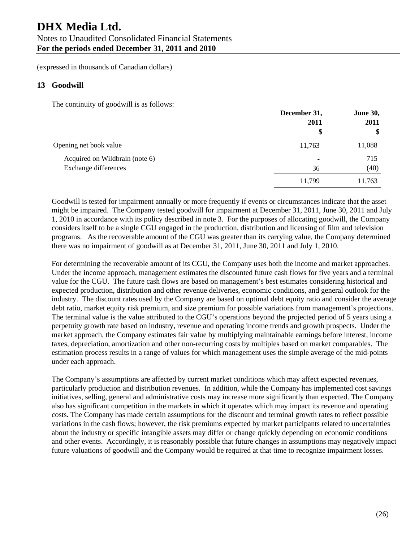# **DHX Media Ltd.**  Notes to Unaudited Consolidated Financial Statements **For the periods ended December 31, 2011 and 2010**

(expressed in thousands of Canadian dollars)

## **13 Goodwill**

The continuity of goodwill is as follows:

|                                | December 31,             | <b>June 30,</b> |
|--------------------------------|--------------------------|-----------------|
|                                | 2011                     | 2011            |
|                                | \$                       | \$              |
| Opening net book value         | 11,763                   | 11,088          |
| Acquired on Wildbrain (note 6) | $\overline{\phantom{a}}$ | 715             |
| Exchange differences           | 36                       | (40)            |
|                                | 11,799                   | 11,763          |

Goodwill is tested for impairment annually or more frequently if events or circumstances indicate that the asset might be impaired. The Company tested goodwill for impairment at December 31, 2011, June 30, 2011 and July 1, 2010 in accordance with its policy described in note 3. For the purposes of allocating goodwill, the Company considers itself to be a single CGU engaged in the production, distribution and licensing of film and television programs. As the recoverable amount of the CGU was greater than its carrying value, the Company determined there was no impairment of goodwill as at December 31, 2011, June 30, 2011 and July 1, 2010.

For determining the recoverable amount of its CGU, the Company uses both the income and market approaches. Under the income approach, management estimates the discounted future cash flows for five years and a terminal value for the CGU. The future cash flows are based on management's best estimates considering historical and expected production, distribution and other revenue deliveries, economic conditions, and general outlook for the industry. The discount rates used by the Company are based on optimal debt equity ratio and consider the average debt ratio, market equity risk premium, and size premium for possible variations from management's projections. The terminal value is the value attributed to the CGU's operations beyond the projected period of 5 years using a perpetuity growth rate based on industry, revenue and operating income trends and growth prospects. Under the market approach, the Company estimates fair value by multiplying maintainable earnings before interest, income taxes, depreciation, amortization and other non-recurring costs by multiples based on market comparables. The estimation process results in a range of values for which management uses the simple average of the mid-points under each approach.

The Company's assumptions are affected by current market conditions which may affect expected revenues, particularly production and distribution revenues. In addition, while the Company has implemented cost savings initiatives, selling, general and administrative costs may increase more significantly than expected. The Company also has significant competition in the markets in which it operates which may impact its revenue and operating costs. The Company has made certain assumptions for the discount and terminal growth rates to reflect possible variations in the cash flows; however, the risk premiums expected by market participants related to uncertainties about the industry or specific intangible assets may differ or change quickly depending on economic conditions and other events. Accordingly, it is reasonably possible that future changes in assumptions may negatively impact future valuations of goodwill and the Company would be required at that time to recognize impairment losses.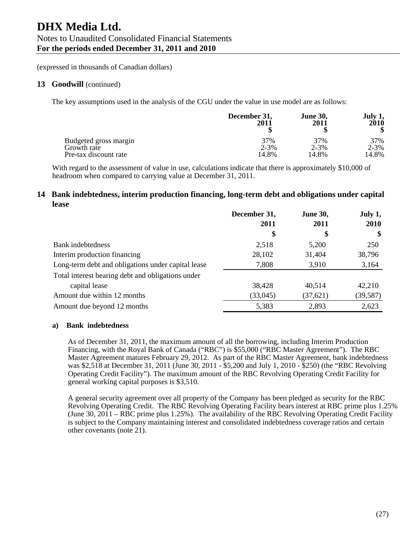#### 13 Goodwill (continued)

The key assumptions used in the analysis of the CGU under the value in use model are as follows:

|                       | December 31, | <b>June 30,</b> | July 1,   |
|-----------------------|--------------|-----------------|-----------|
|                       | 2011         | 2011            | 2010      |
| Budgeted gross margin | 37%          | 37%             | 37%       |
| Growth rate           | $2 - 3%$     | $2 - 3\%$       | $2 - 3\%$ |
| Pre-tax discount rate | 14.8%        | 14.8%           | 14.8%     |

With regard to the assessment of value in use, calculations indicate that there is approximately \$10,000 of headroom when compared to carrying value at December 31, 2011.

## **14 Bank indebtedness, interim production financing, long-term debt and obligations under capital lease**

|                                                    | December 31, | <b>June 30,</b> | July 1,   |
|----------------------------------------------------|--------------|-----------------|-----------|
|                                                    | 2011         | 2011            | 2010      |
|                                                    | \$           | \$              | \$        |
| Bank indebtedness                                  | 2,518        | 5,200           | 250       |
| Interim production financing                       | 28,102       | 31,404          | 38,796    |
| Long-term debt and obligations under capital lease | 7,808        | 3,910           | 3,164     |
| Total interest bearing debt and obligations under  |              |                 |           |
| capital lease                                      | 38,428       | 40,514          | 42,210    |
| Amount due within 12 months                        | (33,045)     | (37, 621)       | (39, 587) |
| Amount due beyond 12 months                        | 5,383        | 2,893           | 2,623     |

#### **a) Bank indebtedness**

As of December 31, 2011, the maximum amount of all the borrowing, including Interim Production Financing, with the Royal Bank of Canada ("RBC") is \$55,000 ("RBC Master Agreement"). The RBC Master Agreement matures February 29, 2012. As part of the RBC Master Agreement, bank indebtedness was \$2,518 at December 31, 2011 (June 30, 2011 - \$5,200 and July 1, 2010 - \$250) (the "RBC Revolving Operating Credit Facility"). The maximum amount of the RBC Revolving Operating Credit Facility for general working capital purposes is \$3,510.

A general security agreement over all property of the Company has been pledged as security for the RBC Revolving Operating Credit. The RBC Revolving Operating Facility bears interest at RBC prime plus 1.25% (June 30, 2011 – RBC prime plus 1.25%). The availability of the RBC Revolving Operating Credit Facility is subject to the Company maintaining interest and consolidated indebtedness coverage ratios and certain other covenants (note 21).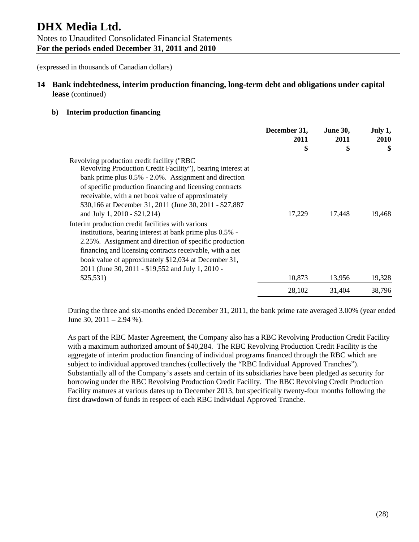## **14 Bank indebtedness, interim production financing, long-term debt and obligations under capital lease** (continued)

#### **b) Interim production financing**

|                                                                                                                                                                                                                                                                                                                                                                                  | December 31,<br>2011<br>\$ | <b>June 30,</b><br>2011<br>\$ | July 1,<br>2010<br>\$ |
|----------------------------------------------------------------------------------------------------------------------------------------------------------------------------------------------------------------------------------------------------------------------------------------------------------------------------------------------------------------------------------|----------------------------|-------------------------------|-----------------------|
| Revolving production credit facility ("RBC<br>Revolving Production Credit Facility"), bearing interest at<br>bank prime plus 0.5% - 2.0%. Assignment and direction<br>of specific production financing and licensing contracts<br>receivable, with a net book value of approximately<br>\$30,166 at December 31, 2011 (June 30, 2011 - \$27,887)<br>and July 1, 2010 - \$21,214) | 17,229                     | 17,448                        | 19,468                |
| Interim production credit facilities with various<br>institutions, bearing interest at bank prime plus 0.5% -<br>2.25%. Assignment and direction of specific production<br>financing and licensing contracts receivable, with a net<br>book value of approximately \$12,034 at December 31,<br>2011 (June 30, 2011 - \$19,552 and July 1, 2010 -<br>\$25,531)                    | 10,873                     | 13,956                        | 19,328                |
|                                                                                                                                                                                                                                                                                                                                                                                  | 28,102                     | 31,404                        | 38,796                |

During the three and six-months ended December 31, 2011, the bank prime rate averaged 3.00% (year ended June 30,  $2011 - 2.94$  %).

As part of the RBC Master Agreement, the Company also has a RBC Revolving Production Credit Facility with a maximum authorized amount of \$40,284. The RBC Revolving Production Credit Facility is the aggregate of interim production financing of individual programs financed through the RBC which are subject to individual approved tranches (collectively the "RBC Individual Approved Tranches"). Substantially all of the Company's assets and certain of its subsidiaries have been pledged as security for borrowing under the RBC Revolving Production Credit Facility. The RBC Revolving Credit Production Facility matures at various dates up to December 2013, but specifically twenty-four months following the first drawdown of funds in respect of each RBC Individual Approved Tranche.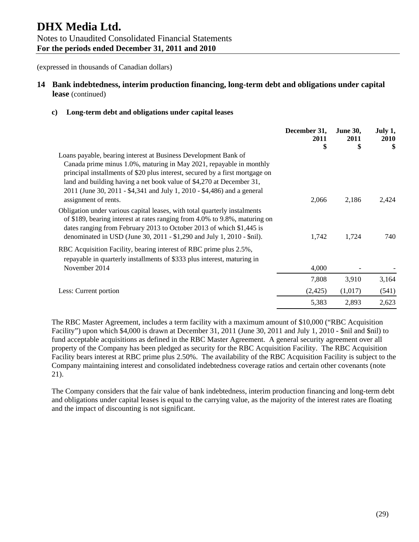## **14 Bank indebtedness, interim production financing, long-term debt and obligations under capital lease** (continued)

#### **c) Long-term debt and obligations under capital leases**

|                                                                                                                                                                                                                                                                                                                                                                           | December 31,<br>2011<br>\$ | <b>June 30,</b><br>2011<br>\$ | July 1,<br><b>2010</b><br>\$ |
|---------------------------------------------------------------------------------------------------------------------------------------------------------------------------------------------------------------------------------------------------------------------------------------------------------------------------------------------------------------------------|----------------------------|-------------------------------|------------------------------|
| Loans payable, bearing interest at Business Development Bank of<br>Canada prime minus 1.0%, maturing in May 2021, repayable in monthly<br>principal installments of \$20 plus interest, secured by a first mortgage on<br>land and building having a net book value of \$4,270 at December 31,<br>2011 (June 30, 2011 - \$4,341 and July 1, 2010 - \$4,486) and a general |                            |                               |                              |
| assignment of rents.<br>Obligation under various capital leases, with total quarterly instalments<br>of \$189, bearing interest at rates ranging from 4.0% to 9.8%, maturing on<br>dates ranging from February 2013 to October 2013 of which \$1,445 is<br>denominated in USD (June 30, 2011 - \$1,290 and July 1, 2010 - \$nil).                                         | 2,066<br>1,742             | 2,186<br>1,724                | 2,424<br>740                 |
| RBC Acquisition Facility, bearing interest of RBC prime plus 2.5%,<br>repayable in quarterly installments of \$333 plus interest, maturing in<br>November 2014                                                                                                                                                                                                            | 4,000                      |                               |                              |
|                                                                                                                                                                                                                                                                                                                                                                           | 7,808                      | 3,910                         | 3,164                        |
| Less: Current portion                                                                                                                                                                                                                                                                                                                                                     | (2, 425)                   | (1,017)                       | (541)                        |
|                                                                                                                                                                                                                                                                                                                                                                           | 5,383                      | 2,893                         | 2,623                        |

The RBC Master Agreement, includes a term facility with a maximum amount of \$10,000 ("RBC Acquisition Facility") upon which \$4,000 is drawn at December 31, 2011 (June 30, 2011 and July 1, 2010 - \$nil and \$nil) to fund acceptable acquisitions as defined in the RBC Master Agreement. A general security agreement over all property of the Company has been pledged as security for the RBC Acquisition Facility. The RBC Acquisition Facility bears interest at RBC prime plus 2.50%. The availability of the RBC Acquisition Facility is subject to the Company maintaining interest and consolidated indebtedness coverage ratios and certain other covenants (note 21).

The Company considers that the fair value of bank indebtedness, interim production financing and long-term debt and obligations under capital leases is equal to the carrying value, as the majority of the interest rates are floating and the impact of discounting is not significant.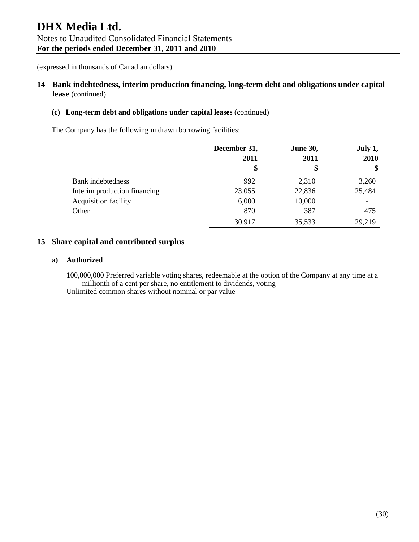## **14 Bank indebtedness, interim production financing, long-term debt and obligations under capital lease** (continued)

#### **(c) Long-term debt and obligations under capital leases** (continued)

The Company has the following undrawn borrowing facilities:

|                              | December 31, | <b>June 30,</b> |                   |
|------------------------------|--------------|-----------------|-------------------|
|                              | 2011         | 2011            | 2010              |
|                              | \$           | \$              | $\boldsymbol{\$}$ |
| Bank indebtedness            | 992          | 2,310           | 3,260             |
| Interim production financing | 23,055       | 22,836          | 25,484            |
| <b>Acquisition facility</b>  | 6,000        | 10,000          |                   |
| Other                        | 870          | 387             | 475               |
|                              | 30,917       | 35,533          | 29,219            |

## **15 Share capital and contributed surplus**

#### **a) Authorized**

100,000,000 Preferred variable voting shares, redeemable at the option of the Company at any time at a millionth of a cent per share, no entitlement to dividends, voting Unlimited common shares without nominal or par value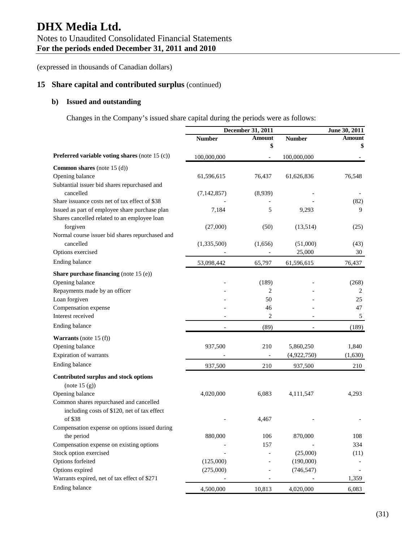# **DHX Media Ltd.**  Notes to Unaudited Consolidated Financial Statements **For the periods ended December 31, 2011 and 2010**

(expressed in thousands of Canadian dollars)

## **15 Share capital and contributed surplus** (continued)

## **b) Issued and outstanding**

Changes in the Company's issued share capital during the periods were as follows:

|                                                 |               | December 31, 2011 |               | June 30, 2011 |  |
|-------------------------------------------------|---------------|-------------------|---------------|---------------|--|
|                                                 | <b>Number</b> | Amount            | <b>Number</b> | Amount        |  |
|                                                 |               | \$                |               | \$            |  |
| Preferred variable voting shares (note 15 (c))  | 100,000,000   |                   | 100,000,000   |               |  |
| Common shares (note 15 (d))                     |               |                   |               |               |  |
| Opening balance                                 | 61,596,615    | 76,437            | 61,626,836    | 76,548        |  |
| Subtantial issuer bid shares repurchased and    |               |                   |               |               |  |
| cancelled                                       | (7, 142, 857) | (8,939)           |               |               |  |
| Share issuance costs net of tax effect of \$38  |               |                   |               | (82)          |  |
| Issued as part of employee share purchase plan  | 7,184         | 5                 | 9,293         | 9             |  |
| Shares cancelled related to an employee loan    |               |                   |               |               |  |
| forgiven                                        | (27,000)      | (50)              | (13,514)      | (25)          |  |
| Normal course issuer bid shares repurchased and |               |                   |               |               |  |
| cancelled                                       | (1,335,500)   | (1,656)           | (51,000)      | (43)          |  |
| Options exercised                               |               |                   | 25,000        | 30            |  |
| Ending balance                                  | 53,098,442    | 65,797            | 61,596,615    | 76,437        |  |
| Share purchase financing (note 15 (e))          |               |                   |               |               |  |
| Opening balance                                 |               | (189)             |               | (268)         |  |
| Repayments made by an officer                   |               | 2                 |               | 2             |  |
| Loan forgiven                                   |               | 50                |               | 25            |  |
| Compensation expense                            |               | 46                |               | 47            |  |
| Interest received                               |               | 2                 |               | 5             |  |
| Ending balance                                  |               | (89)              |               | (189)         |  |
| <b>Warrants</b> (note $15(f)$ )                 |               |                   |               |               |  |
| Opening balance                                 | 937,500       | 210               | 5,860,250     | 1,840         |  |
| Expiration of warrants                          |               |                   | (4,922,750)   | (1,630)       |  |
| Ending balance                                  | 937,500       | 210               | 937,500       | 210           |  |
| Contributed surplus and stock options           |               |                   |               |               |  |
| (note 15(g))                                    |               |                   |               |               |  |
| Opening balance                                 | 4,020,000     | 6,083             | 4,111,547     | 4,293         |  |
| Common shares repurchased and cancelled         |               |                   |               |               |  |
| including costs of \$120, net of tax effect     |               |                   |               |               |  |
| of \$38                                         |               | 4,467             |               |               |  |
| Compensation expense on options issued during   |               |                   |               |               |  |
| the period                                      | 880,000       | 106               | 870,000       | 108           |  |
| Compensation expense on existing options        |               | 157               |               | 334           |  |
| Stock option exercised                          |               |                   | (25,000)      | (11)          |  |
| Options forfeited                               | (125,000)     |                   | (190,000)     |               |  |
| Options expired                                 | (275,000)     |                   | (746, 547)    |               |  |
| Warrants expired, net of tax effect of \$271    |               |                   |               | 1,359         |  |
| Ending balance                                  | 4,500,000     | 10,813            | 4,020,000     | 6,083         |  |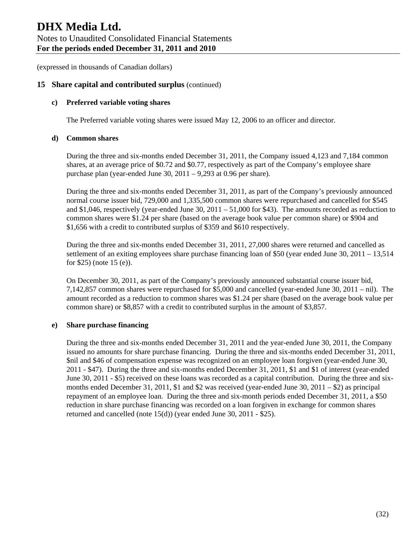## **15 Share capital and contributed surplus** (continued)

#### **c) Preferred variable voting shares**

The Preferred variable voting shares were issued May 12, 2006 to an officer and director.

#### **d) Common shares**

During the three and six-months ended December 31, 2011, the Company issued 4,123 and 7,184 common shares, at an average price of \$0.72 and \$0.77, respectively as part of the Company's employee share purchase plan (year-ended June 30, 2011 – 9,293 at 0.96 per share).

During the three and six-months ended December 31, 2011, as part of the Company's previously announced normal course issuer bid, 729,000 and 1,335,500 common shares were repurchased and cancelled for \$545 and \$1,046, respectively (year-ended June 30, 2011 – 51,000 for \$43). The amounts recorded as reduction to common shares were \$1.24 per share (based on the average book value per common share) or \$904 and \$1,656 with a credit to contributed surplus of \$359 and \$610 respectively.

During the three and six-months ended December 31, 2011, 27,000 shares were returned and cancelled as settlement of an exiting employees share purchase financing loan of \$50 (year ended June 30, 2011 – 13,514 for \$25) (note 15 (e)).

On December 30, 2011, as part of the Company's previously announced substantial course issuer bid, 7,142,857 common shares were repurchased for \$5,000 and cancelled (year-ended June 30, 2011 – nil). The amount recorded as a reduction to common shares was \$1.24 per share (based on the average book value per common share) or \$8,857 with a credit to contributed surplus in the amount of \$3,857.

#### **e) Share purchase financing**

During the three and six-months ended December 31, 2011 and the year-ended June 30, 2011, the Company issued no amounts for share purchase financing. During the three and six-months ended December 31, 2011, \$nil and \$46 of compensation expense was recognized on an employee loan forgiven (year-ended June 30, 2011 - \$47). During the three and six-months ended December 31, 2011, \$1 and \$1 of interest (year-ended June 30, 2011 - \$5) received on these loans was recorded as a capital contribution. During the three and sixmonths ended December 31, 2011, \$1 and \$2 was received (year-ended June 30, 2011 – \$2) as principal repayment of an employee loan. During the three and six-month periods ended December 31, 2011, a \$50 reduction in share purchase financing was recorded on a loan forgiven in exchange for common shares returned and cancelled (note 15(d)) (year ended June 30, 2011 - \$25).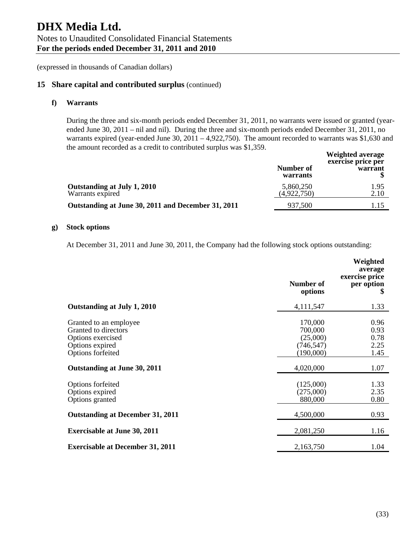## **15 Share capital and contributed surplus** (continued)

#### **f) Warrants**

During the three and six-month periods ended December 31, 2011, no warrants were issued or granted (yearended June 30, 2011 – nil and nil). During the three and six-month periods ended December 31, 2011, no warrants expired (year-ended June 30, 2011 – 4,922,750). The amount recorded to warrants was \$1,630 and the amount recorded as a credit to contributed surplus was \$1,359.  $W_{\alpha}$  is keeper

|                                                    | Number of<br>warrants    | weignted average<br>exercise price per<br>warrant |
|----------------------------------------------------|--------------------------|---------------------------------------------------|
| Outstanding at July 1, 2010<br>Warrants expired    | 5,860,250<br>(4,922,750) | 1.95<br>2.10                                      |
| Outstanding at June 30, 2011 and December 31, 2011 | 937,500                  |                                                   |
|                                                    |                          |                                                   |

#### **g) Stock options**

At December 31, 2011 and June 30, 2011, the Company had the following stock options outstanding:

|                                                                                                             | <b>Number of</b><br>options                               | Weighted<br>average<br>exercise price<br>per option<br>\$ |
|-------------------------------------------------------------------------------------------------------------|-----------------------------------------------------------|-----------------------------------------------------------|
| Outstanding at July 1, 2010                                                                                 | 4,111,547                                                 | 1.33                                                      |
| Granted to an employee<br>Granted to directors<br>Options exercised<br>Options expired<br>Options forfeited | 170,000<br>700,000<br>(25,000)<br>(746, 547)<br>(190,000) | 0.96<br>0.93<br>0.78<br>2.25<br>1.45                      |
| Outstanding at June 30, 2011                                                                                | 4,020,000                                                 | 1.07                                                      |
| Options forfeited<br>Options expired<br>Options granted                                                     | (125,000)<br>(275,000)<br>880,000                         | 1.33<br>2.35<br>0.80                                      |
| <b>Outstanding at December 31, 2011</b>                                                                     | 4,500,000                                                 | 0.93                                                      |
| <b>Exercisable at June 30, 2011</b>                                                                         | 2,081,250                                                 | 1.16                                                      |
| <b>Exercisable at December 31, 2011</b>                                                                     | 2,163,750                                                 | 1.04                                                      |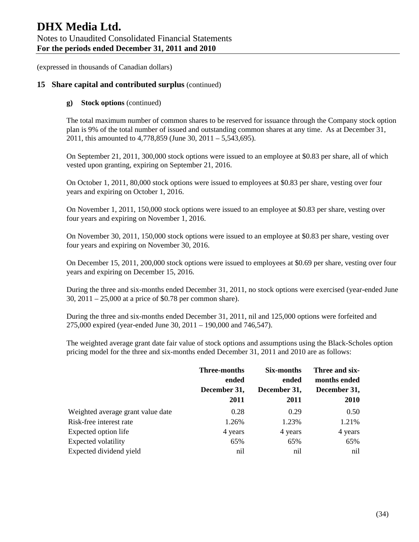## **15 Share capital and contributed surplus** (continued)

#### **g) Stock options** (continued)

The total maximum number of common shares to be reserved for issuance through the Company stock option plan is 9% of the total number of issued and outstanding common shares at any time. As at December 31, 2011, this amounted to 4,778,859 (June 30, 2011 – 5,543,695).

On September 21, 2011, 300,000 stock options were issued to an employee at \$0.83 per share, all of which vested upon granting, expiring on September 21, 2016.

On October 1, 2011, 80,000 stock options were issued to employees at \$0.83 per share, vesting over four years and expiring on October 1, 2016.

On November 1, 2011, 150,000 stock options were issued to an employee at \$0.83 per share, vesting over four years and expiring on November 1, 2016.

On November 30, 2011, 150,000 stock options were issued to an employee at \$0.83 per share, vesting over four years and expiring on November 30, 2016.

On December 15, 2011, 200,000 stock options were issued to employees at \$0.69 per share, vesting over four years and expiring on December 15, 2016.

During the three and six-months ended December 31, 2011, no stock options were exercised (year-ended June 30, 2011 – 25,000 at a price of \$0.78 per common share).

During the three and six-months ended December 31, 2011, nil and 125,000 options were forfeited and 275,000 expired (year-ended June 30, 2011 – 190,000 and 746,547).

The weighted average grant date fair value of stock options and assumptions using the Black-Scholes option pricing model for the three and six-months ended December 31, 2011 and 2010 are as follows:

|                                   | <b>Three-months</b><br>ended<br>December 31,<br>2011 | Six-months<br>ended<br>December 31,<br>2011 | Three and six-<br>months ended<br>December 31,<br>2010 |
|-----------------------------------|------------------------------------------------------|---------------------------------------------|--------------------------------------------------------|
| Weighted average grant value date | 0.28                                                 | 0.29                                        | 0.50                                                   |
| Risk-free interest rate           | 1.26%                                                | 1.23%                                       | 1.21%                                                  |
| Expected option life              | 4 years                                              | 4 years                                     | 4 years                                                |
| Expected volatility               | 65%                                                  | 65%                                         | 65%                                                    |
| Expected dividend yield           | nil                                                  | nil                                         | nil                                                    |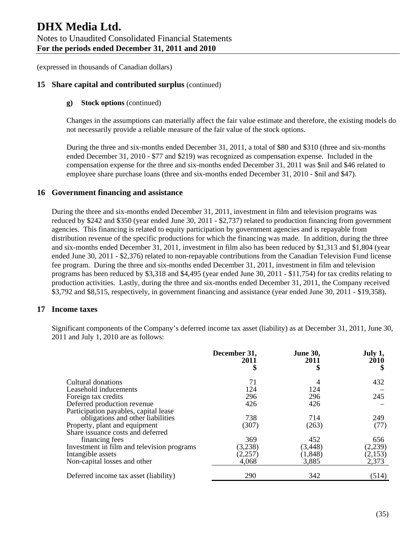## **15 Share capital and contributed surplus** (continued)

#### **g) Stock options** (continued)

Changes in the assumptions can materially affect the fair value estimate and therefore, the existing models do not necessarily provide a reliable measure of the fair value of the stock options.

During the three and six-months ended December 31, 2011, a total of \$80 and \$310 (three and six-months ended December 31, 2010 - \$77 and \$219) was recognized as compensation expense. Included in the compensation expense for the three and six-months ended December 31, 2011 was \$nil and \$46 related to employee share purchase loans (three and six-months ended December 31, 2010 - \$nil and \$47).

#### **16 Government financing and assistance**

During the three and six-months ended December 31, 2011, investment in film and television programs was reduced by \$242 and \$350 (year ended June 30, 2011 - \$2,737) related to production financing from government agencies. This financing is related to equity participation by government agencies and is repayable from distribution revenue of the specific productions for which the financing was made. In addition, during the three and six-months ended December 31, 2011, investment in film also has been reduced by \$1,313 and \$1,804 (year ended June 30, 2011 - \$2,376) related to non-repayable contributions from the Canadian Television Fund license fee program. During the three and six-months ended December 31, 2011, investment in film and television programs has been reduced by \$3,318 and \$4,495 (year ended June 30, 2011 - \$11,754) for tax credits relating to production activities. Lastly, during the three and six-months ended December 31, 2011, the Company received \$3,792 and \$8,515, respectively, in government financing and assistance (year ended June 30, 2011 - \$19,358).

#### **17 Income taxes**

Significant components of the Company's deferred income tax asset (liability) as at December 31, 2011, June 30, 2011 and July 1, 2010 are as follows:

|                                            | December 31,<br>2011<br>\$ | <b>June 30,</b><br>2011<br>\$ | July 1,<br>2010 |
|--------------------------------------------|----------------------------|-------------------------------|-----------------|
| Cultural donations                         | 71                         | 4                             | 432             |
| Leasehold inducements                      | 124                        | 124                           |                 |
| Foreign tax credits                        | 296                        | 296                           | 245             |
| Deferred production revenue                | 426                        | 426                           |                 |
| Participation payables, capital lease      |                            |                               |                 |
| obligations and other liabilities          | 738                        | 714                           | 249             |
| Property, plant and equipment              | (307)                      | (263)                         | (77)            |
| Share issuance costs and deferred          |                            |                               |                 |
| financing fees                             | 369                        | 452                           | 656             |
| Investment in film and television programs | (3,238)                    | (3, 448)                      | (2,239)         |
| Intangible assets                          | (2,257)                    | (1, 848)                      | (2,153)         |
| Non-capital losses and other               | 4,068                      | 3,885                         | 2,373           |
| Deferred income tax asset (liability)      | 290                        | 342                           | (514)           |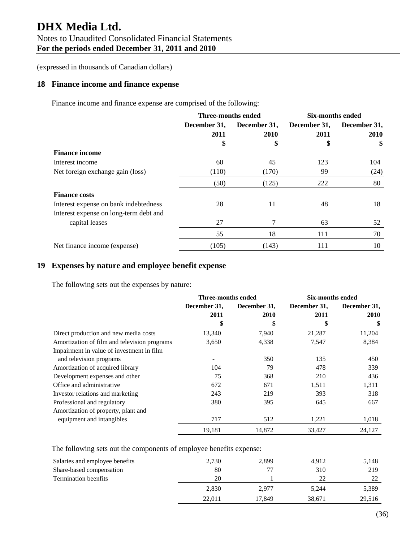# **DHX Media Ltd.**  Notes to Unaudited Consolidated Financial Statements **For the periods ended December 31, 2011 and 2010**

(expressed in thousands of Canadian dollars)

## **18 Finance income and finance expense**

Finance income and finance expense are comprised of the following:

|                                        | <b>Three-months ended</b> |              | <b>Six-months ended</b> |              |
|----------------------------------------|---------------------------|--------------|-------------------------|--------------|
|                                        | December 31,              | December 31, | December 31,            | December 31, |
|                                        | 2011                      | 2010         | 2011                    | 2010         |
|                                        | \$                        | \$           | \$                      | \$           |
| <b>Finance income</b>                  |                           |              |                         |              |
| Interest income                        | 60                        | 45           | 123                     | 104          |
| Net foreign exchange gain (loss)       | (110)                     | (170)        | 99                      | (24)         |
|                                        | (50)                      | (125)        | 222                     | 80           |
| <b>Finance costs</b>                   |                           |              |                         |              |
| Interest expense on bank indebtedness  | 28                        | 11           | 48                      | 18           |
| Interest expense on long-term debt and |                           |              |                         |              |
| capital leases                         | 27                        |              | 63                      | 52           |
|                                        | 55                        | 18           | 111                     | 70           |
| Net finance income (expense)           | (105)                     | (143)        | 111                     | 10           |

## **19 Expenses by nature and employee benefit expense**

The following sets out the expenses by nature:

|                                              | <b>Three-months ended</b> |              | <b>Six-months ended</b> |              |
|----------------------------------------------|---------------------------|--------------|-------------------------|--------------|
|                                              | December 31,              | December 31, | December 31,            | December 31. |
|                                              | 2011                      | 2010         | 2011                    | <b>2010</b>  |
|                                              | \$                        | \$           | \$                      | \$           |
| Direct production and new media costs        | 13,340                    | 7,940        | 21,287                  | 11,204       |
| Amortization of film and television programs | 3,650                     | 4,338        | 7,547                   | 8,384        |
| Impairment in value of investment in film    |                           |              |                         |              |
| and television programs                      | -                         | 350          | 135                     | 450          |
| Amortization of acquired library             | 104                       | 79           | 478                     | 339          |
| Development expenses and other               | 75                        | 368          | 210                     | 436          |
| Office and administrative                    | 672                       | 671          | 1,511                   | 1,311        |
| Investor relations and marketing             | 243                       | 219          | 393                     | 318          |
| Professional and regulatory                  | 380                       | 395          | 645                     | 667          |
| Amortization of property, plant and          |                           |              |                         |              |
| equipment and intangibles                    | 717                       | 512          | 1,221                   | 1,018        |
|                                              | 19,181                    | 14,872       | 33,427                  | 24,127       |

The following sets out the components of employee benefits expense:

| Salaries and employee benefits | 2,730  | 2,899  | 4.912  | 5,148  |
|--------------------------------|--------|--------|--------|--------|
| Share-based compensation       | 80     |        | 310    | 219    |
| <b>Termination beenfits</b>    | 20     |        | 22     | າາ     |
|                                | 2.830  | 2.977  | 5.244  | 5,389  |
|                                | 22.011 | 17.849 | 38,671 | 29,516 |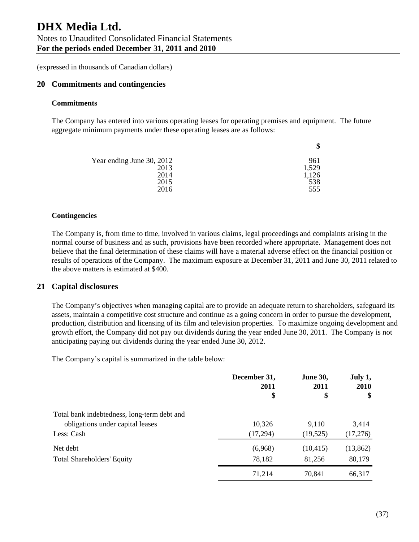## **20 Commitments and contingencies**

#### **Commitments**

The Company has entered into various operating leases for operating premises and equipment. The future aggregate minimum payments under these operating leases are as follows:

|                           | \$    |
|---------------------------|-------|
| Year ending June 30, 2012 | 961   |
| 2013                      | 1,529 |
| 2014                      | 1,126 |
| 2015                      | 538   |
| 2016                      | 555   |

#### **Contingencies**

The Company is, from time to time, involved in various claims, legal proceedings and complaints arising in the normal course of business and as such, provisions have been recorded where appropriate. Management does not believe that the final determination of these claims will have a material adverse effect on the financial position or results of operations of the Company. The maximum exposure at December 31, 2011 and June 30, 2011 related to the above matters is estimated at \$400.

#### **21 Capital disclosures**

The Company's objectives when managing capital are to provide an adequate return to shareholders, safeguard its assets, maintain a competitive cost structure and continue as a going concern in order to pursue the development, production, distribution and licensing of its film and television properties. To maximize ongoing development and growth effort, the Company did not pay out dividends during the year ended June 30, 2011. The Company is not anticipating paying out dividends during the year ended June 30, 2012.

The Company's capital is summarized in the table below:

|                                             | December 31,<br>2011<br>\$ | <b>June 30,</b><br>2011<br>\$ | July 1,<br><b>2010</b><br>\$ |
|---------------------------------------------|----------------------------|-------------------------------|------------------------------|
| Total bank indebtedness, long-term debt and |                            |                               |                              |
| obligations under capital leases            | 10,326                     | 9,110                         | 3,414                        |
| Less: Cash                                  | (17,294)                   | (19,525)                      | (17,276)                     |
| Net debt                                    | (6,968)                    | (10, 415)                     | (13,862)                     |
| <b>Total Shareholders' Equity</b>           | 78,182                     | 81,256                        | 80,179                       |
|                                             | 71,214                     | 70,841                        | 66,317                       |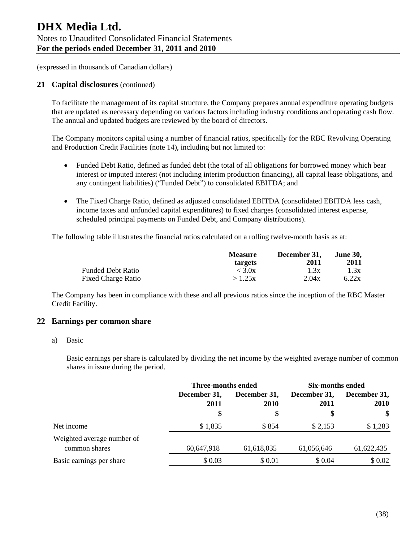#### **21 Capital disclosures** (continued)

To facilitate the management of its capital structure, the Company prepares annual expenditure operating budgets that are updated as necessary depending on various factors including industry conditions and operating cash flow. The annual and updated budgets are reviewed by the board of directors.

The Company monitors capital using a number of financial ratios, specifically for the RBC Revolving Operating and Production Credit Facilities (note 14), including but not limited to:

- Funded Debt Ratio, defined as funded debt (the total of all obligations for borrowed money which bear interest or imputed interest (not including interim production financing), all capital lease obligations, and any contingent liabilities) ("Funded Debt") to consolidated EBITDA; and
- The Fixed Charge Ratio, defined as adjusted consolidated EBITDA (consolidated EBITDA less cash, income taxes and unfunded capital expenditures) to fixed charges (consolidated interest expense, scheduled principal payments on Funded Debt, and Company distributions).

The following table illustrates the financial ratios calculated on a rolling twelve-month basis as at:

|                           | <b>Measure</b><br>targets | December 31.<br>2011 | <b>June 30.</b><br>2011 |
|---------------------------|---------------------------|----------------------|-------------------------|
| Funded Debt Ratio         | < 3.0x                    | 1.3x                 | 1.3x                    |
| <b>Fixed Charge Ratio</b> | >1.25x                    | 2.04x                | 6.22x                   |

The Company has been in compliance with these and all previous ratios since the inception of the RBC Master Credit Facility.

#### **22 Earnings per common share**

a) Basic

Basic earnings per share is calculated by dividing the net income by the weighted average number of common shares in issue during the period.

|                                             |                      | <b>Three-months ended</b>   |                      | Six-months ended            |
|---------------------------------------------|----------------------|-----------------------------|----------------------|-----------------------------|
|                                             | December 31,<br>2011 | December 31,<br><b>2010</b> | December 31,<br>2011 | December 31,<br><b>2010</b> |
|                                             | \$                   | \$                          | \$                   | \$                          |
| Net income                                  | \$1,835              | \$854                       | \$2,153              | \$1,283                     |
| Weighted average number of<br>common shares | 60,647,918           | 61,618,035                  | 61,056,646           | 61,622,435                  |
| Basic earnings per share                    | \$0.03               | \$ 0.01                     | \$ 0.04              | \$0.02                      |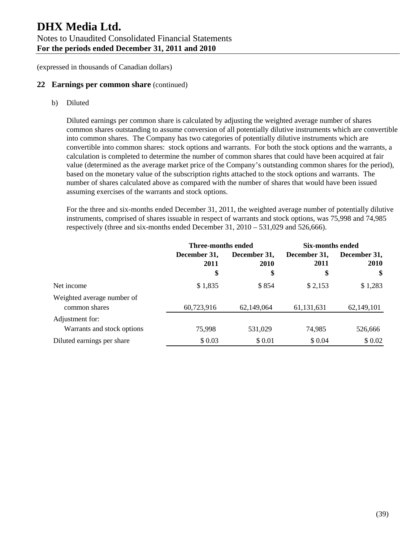## **22 Earnings per common share** (continued)

b) Diluted

Diluted earnings per common share is calculated by adjusting the weighted average number of shares common shares outstanding to assume conversion of all potentially dilutive instruments which are convertible into common shares. The Company has two categories of potentially dilutive instruments which are convertible into common shares: stock options and warrants. For both the stock options and the warrants, a calculation is completed to determine the number of common shares that could have been acquired at fair value (determined as the average market price of the Company's outstanding common shares for the period), based on the monetary value of the subscription rights attached to the stock options and warrants. The number of shares calculated above as compared with the number of shares that would have been issued assuming exercises of the warrants and stock options.

For the three and six-months ended December 31, 2011, the weighted average number of potentially dilutive instruments, comprised of shares issuable in respect of warrants and stock options, was 75,998 and 74,985 respectively (three and six-months ended December 31, 2010 – 531,029 and 526,666).

|                                               | Three-months ended         |                            | Six-months ended           |                                   |
|-----------------------------------------------|----------------------------|----------------------------|----------------------------|-----------------------------------|
|                                               | December 31,<br>2011<br>\$ | December 31,<br>2010<br>\$ | December 31,<br>2011<br>\$ | December 31,<br><b>2010</b><br>\$ |
| Net income                                    | \$1,835                    | \$854                      | \$2,153                    | \$1,283                           |
| Weighted average number of<br>common shares   | 60,723,916                 | 62,149,064                 | 61, 131, 631               | 62,149,101                        |
| Adjustment for:<br>Warrants and stock options | 75,998                     | 531,029                    | 74,985                     | 526,666                           |
| Diluted earnings per share                    | \$0.03                     | \$ 0.01                    | \$ 0.04                    | \$ 0.02                           |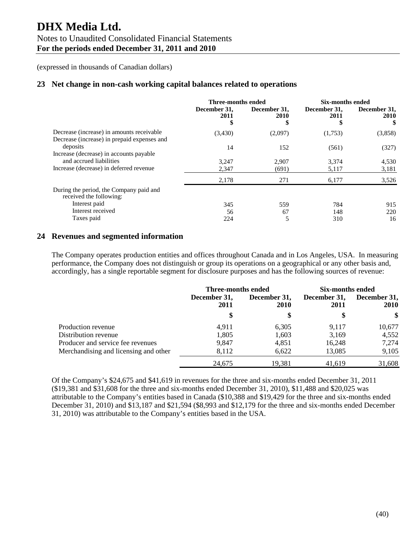# **DHX Media Ltd.**  Notes to Unaudited Consolidated Financial Statements **For the periods ended December 31, 2011 and 2010**

(expressed in thousands of Canadian dollars)

## **23 Net change in non-cash working capital balances related to operations**

|                                                                                                               | Three-months ended         |                             | Six-months ended           |                           |
|---------------------------------------------------------------------------------------------------------------|----------------------------|-----------------------------|----------------------------|---------------------------|
|                                                                                                               | December 31,<br>2011<br>\$ | December 31,<br><b>2010</b> | December 31,<br>2011<br>\$ | December 31,<br>2010<br>S |
| Decrease (increase) in amounts receivable<br>Decrease (increase) in prepaid expenses and                      | (3,430)                    | (2,097)                     | (1,753)                    | (3,858)                   |
| deposits                                                                                                      | 14                         | 152                         | (561)                      | (327)                     |
| Increase (decrease) in accounts payable<br>and accrued liabilities<br>Increase (decrease) in deferred revenue | 3.247<br>2,347             | 2.907<br>(691)              | 3.374<br>5,117             | 4,530<br>3,181            |
|                                                                                                               | 2,178                      | 271                         | 6,177                      | 3,526                     |
| During the period, the Company paid and<br>received the following:                                            |                            |                             |                            |                           |
| Interest paid                                                                                                 | 345                        | 559                         | 784                        | 915                       |
| Interest received                                                                                             | 56                         | 67                          | 148                        | 220                       |
| Taxes paid                                                                                                    | 224                        | 5                           | 310                        | 16                        |

## **24 Revenues and segmented information**

The Company operates production entities and offices throughout Canada and in Los Angeles, USA. In measuring performance, the Company does not distinguish or group its operations on a geographical or any other basis and, accordingly, has a single reportable segment for disclosure purposes and has the following sources of revenue:

|                                       | Three-months ended   |                                   | Six-months ended           |                                              |
|---------------------------------------|----------------------|-----------------------------------|----------------------------|----------------------------------------------|
|                                       | December 31,<br>2011 | December 31,<br><b>2010</b><br>\$ | December 31,<br>2011<br>\$ | December 31,<br><b>2010</b><br><sup>\$</sup> |
|                                       |                      |                                   |                            |                                              |
| Production revenue                    | 4.911                | 6,305                             | 9.117                      | 10,677                                       |
| Distribution revenue                  | 1.805                | 1,603                             | 3,169                      | 4,552                                        |
| Producer and service fee revenues     | 9.847                | 4,851                             | 16,248                     | 7,274                                        |
| Merchandising and licensing and other | 8,112                | 6,622                             | 13,085                     | 9,105                                        |
|                                       | 24,675               | 19,381                            | 41,619                     | 31,608                                       |

Of the Company's \$24,675 and \$41,619 in revenues for the three and six-months ended December 31, 2011 (\$19,381 and \$31,608 for the three and six-months ended December 31, 2010), \$11,488 and \$20,025 was attributable to the Company's entities based in Canada (\$10,388 and \$19,429 for the three and six-months ended December 31, 2010) and \$13,187 and \$21,594 (\$8,993 and \$12,179 for the three and six-months ended December 31, 2010) was attributable to the Company's entities based in the USA.